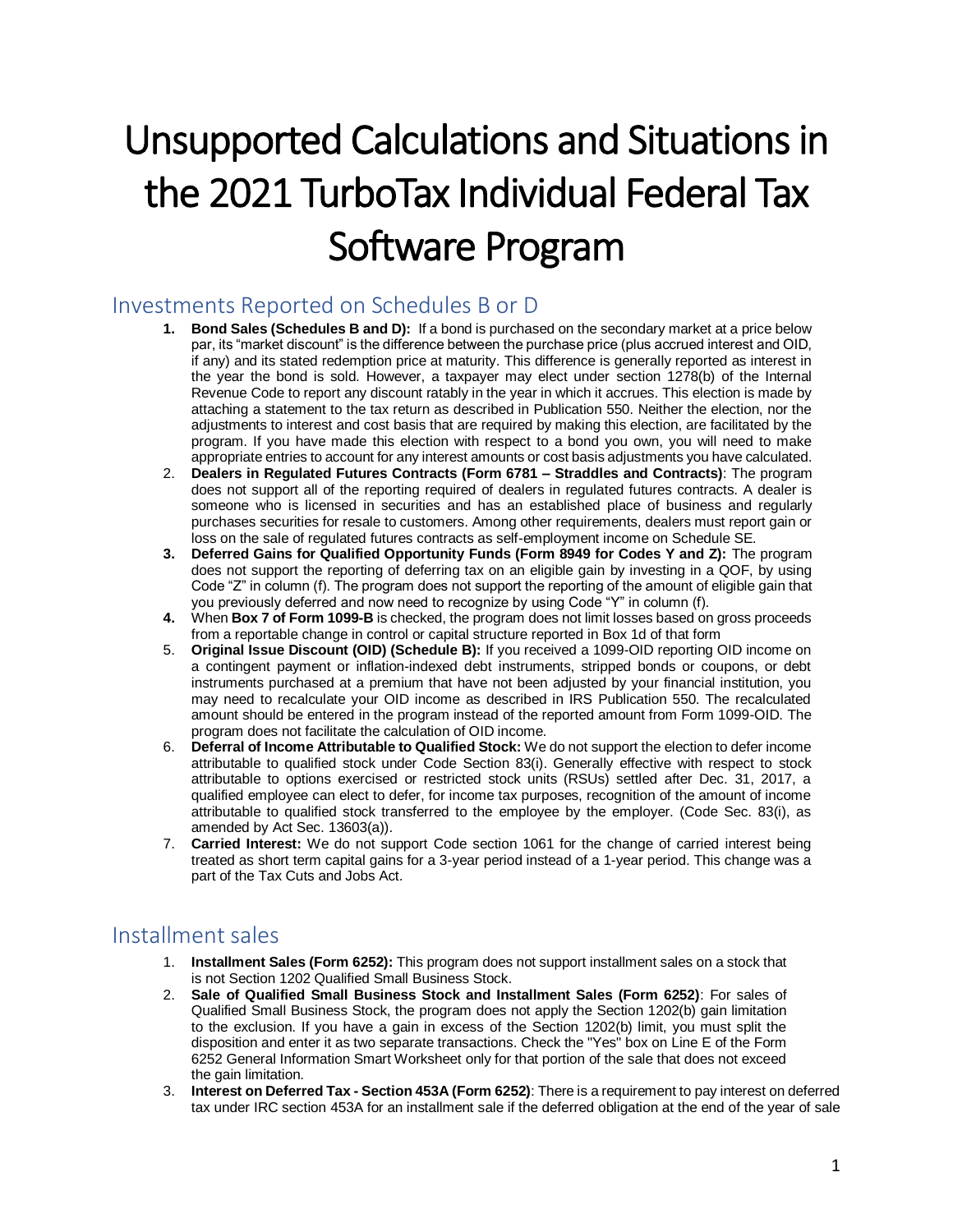# Unsupported Calculations and Situations in the 2021 TurboTax Individual Federal Tax Software Program

## Investments Reported on Schedules B or D

- **1. Bond Sales (Schedules B and D):** If a bond is purchased on the secondary market at a price below par, its "market discount" is the difference between the purchase price (plus accrued interest and OID, if any) and its stated redemption price at maturity. This difference is generally reported as interest in the year the bond is sold. However, a taxpayer may elect under section 1278(b) of the Internal Revenue Code to report any discount ratably in the year in which it accrues. This election is made by attaching a statement to the tax return as described in Publication 550. Neither the election, nor the adjustments to interest and cost basis that are required by making this election, are facilitated by the program. If you have made this election with respect to a bond you own, you will need to make appropriate entries to account for any interest amounts or cost basis adjustments you have calculated.
- 2. **Dealers in Regulated Futures Contracts (Form 6781 – Straddles and Contracts)**: The program does not support all of the reporting required of dealers in regulated futures contracts. A dealer is someone who is licensed in securities and has an established place of business and regularly purchases securities for resale to customers. Among other requirements, dealers must report gain or loss on the sale of regulated futures contracts as self-employment income on Schedule SE.
- **3. Deferred Gains for Qualified Opportunity Funds (Form 8949 for Codes Y and Z):** The program does not support the reporting of deferring tax on an eligible gain by investing in a QOF, by using Code "Z" in column (f). The program does not support the reporting of the amount of eligible gain that you previously deferred and now need to recognize by using Code "Y" in column (f).
- **4.** When **Box 7 of Form 1099-B** is checked, the program does not limit losses based on gross proceeds from a reportable change in control or capital structure reported in Box 1d of that form
- 5. **Original Issue Discount (OID) (Schedule B):** If you received a 1099-OID reporting OID income on a contingent payment or inflation-indexed debt instruments, stripped bonds or coupons, or debt instruments purchased at a premium that have not been adjusted by your financial institution, you may need to recalculate your OID income as described in IRS Publication 550. The recalculated amount should be entered in the program instead of the reported amount from Form 1099-OID. The program does not facilitate the calculation of OID income.
- 6. **Deferral of Income Attributable to Qualified Stock:** We do not support the election to defer income attributable to qualified stock under Code Section 83(i). Generally effective with respect to stock attributable to options exercised or restricted stock units (RSUs) settled after Dec. 31, 2017, a qualified employee can elect to defer, for income tax purposes, recognition of the amount of income attributable to qualified stock transferred to the employee by the employer. (Code Sec. 83(i), as amended by Act Sec. 13603(a)).
- 7. **Carried Interest:** We do not support Code section 1061 for the change of carried interest being treated as short term capital gains for a 3-year period instead of a 1-year period. This change was a part of the Tax Cuts and Jobs Act.

## Installment sales

- 1. **Installment Sales (Form 6252):** This program does not support installment sales on a stock that is not Section 1202 Qualified Small Business Stock.
- 2. **Sale of Qualified Small Business Stock and Installment Sales (Form 6252)**: For sales of Qualified Small Business Stock, the program does not apply the Section 1202(b) gain limitation to the exclusion. If you have a gain in excess of the Section 1202(b) limit, you must split the disposition and enter it as two separate transactions. Check the "Yes" box on Line E of the Form 6252 General Information Smart Worksheet only for that portion of the sale that does not exceed the gain limitation.
- 3. **Interest on Deferred Tax - Section 453A (Form 6252)**: There is a requirement to pay interest on deferred tax under IRC section 453A for an installment sale if the deferred obligation at the end of the year of sale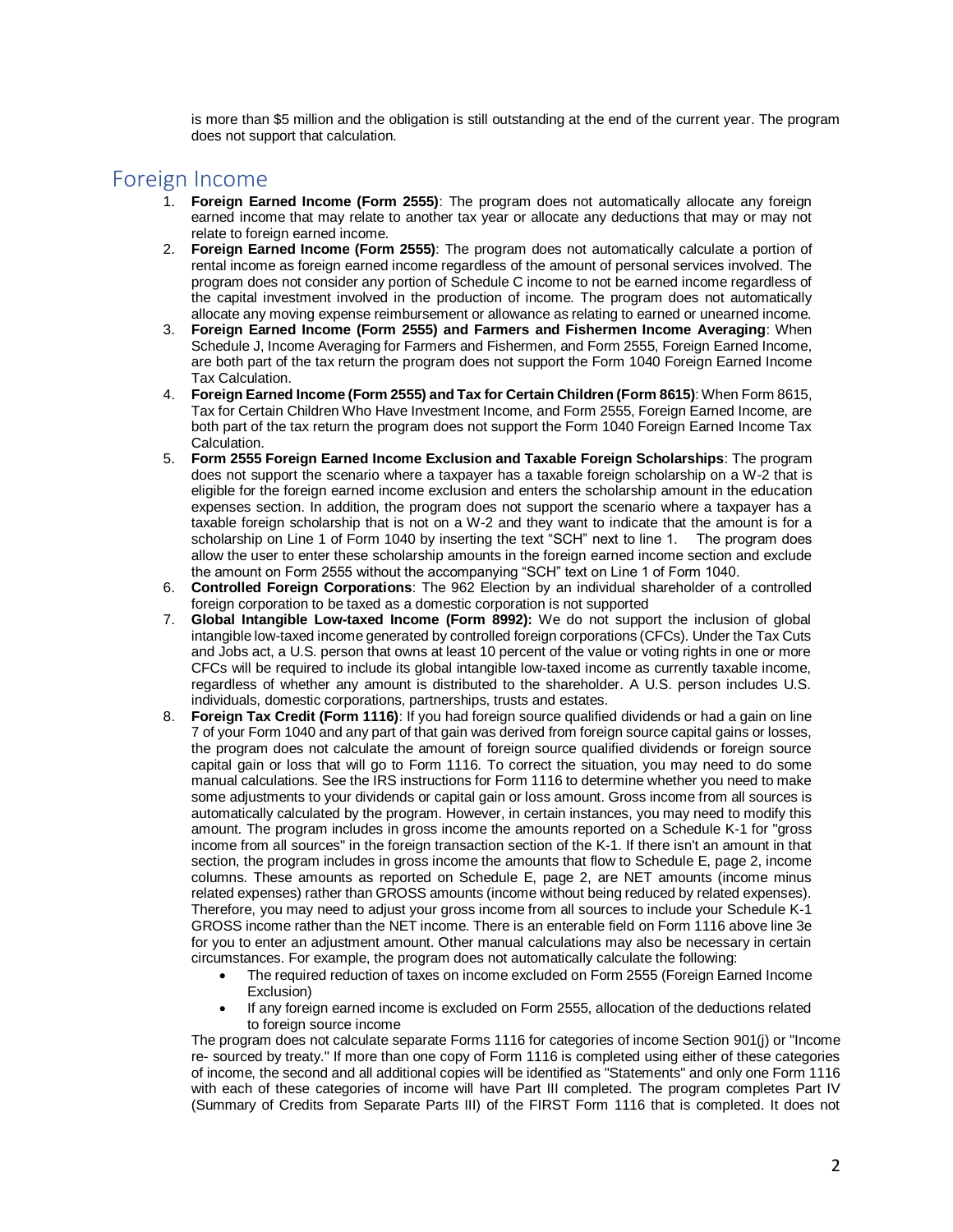is more than \$5 million and the obligation is still outstanding at the end of the current year. The program does not support that calculation.

#### Foreign Income

- 1. **Foreign Earned Income (Form 2555)**: The program does not automatically allocate any foreign earned income that may relate to another tax year or allocate any deductions that may or may not relate to foreign earned income.
- 2. **Foreign Earned Income (Form 2555)**: The program does not automatically calculate a portion of rental income as foreign earned income regardless of the amount of personal services involved. The program does not consider any portion of Schedule C income to not be earned income regardless of the capital investment involved in the production of income. The program does not automatically allocate any moving expense reimbursement or allowance as relating to earned or unearned income.
- 3. **Foreign Earned Income (Form 2555) and Farmers and Fishermen Income Averaging**: When Schedule J, Income Averaging for Farmers and Fishermen, and Form 2555, Foreign Earned Income, are both part of the tax return the program does not support the Form 1040 Foreign Earned Income Tax Calculation.
- 4. **Foreign Earned Income (Form 2555) and Tax for Certain Children (Form 8615)**: When Form 8615, Tax for Certain Children Who Have Investment Income, and Form 2555, Foreign Earned Income, are both part of the tax return the program does not support the Form 1040 Foreign Earned Income Tax Calculation.
- 5. **Form 2555 Foreign Earned Income Exclusion and Taxable Foreign Scholarships**: The program does not support the scenario where a taxpayer has a taxable foreign scholarship on a W-2 that is eligible for the foreign earned income exclusion and enters the scholarship amount in the education expenses section. In addition, the program does not support the scenario where a taxpayer has a taxable foreign scholarship that is not on a W-2 and they want to indicate that the amount is for a scholarship on Line 1 of Form 1040 by inserting the text "SCH" next to line 1. The program does allow the user to enter these scholarship amounts in the foreign earned income section and exclude the amount on Form 2555 without the accompanying "SCH" text on Line 1 of Form 1040.
- 6. **Controlled Foreign Corporations**: The 962 Election by an individual shareholder of a controlled foreign corporation to be taxed as a domestic corporation is not supported
- 7. **Global Intangible Low-taxed Income (Form 8992):** We do not support the inclusion of global intangible low-taxed income generated by controlled foreign corporations (CFCs). Under the Tax Cuts and Jobs act, a U.S. person that owns at least 10 percent of the value or voting rights in one or more CFCs will be required to include its global intangible low-taxed income as currently taxable income, regardless of whether any amount is distributed to the shareholder. A U.S. person includes U.S. individuals, domestic corporations, partnerships, trusts and estates.
- 8. **Foreign Tax Credit (Form 1116)**: If you had foreign source qualified dividends or had a gain on line 7 of your Form 1040 and any part of that gain was derived from foreign source capital gains or losses, the program does not calculate the amount of foreign source qualified dividends or foreign source capital gain or loss that will go to Form 1116. To correct the situation, you may need to do some manual calculations. See the IRS instructions for Form 1116 to determine whether you need to make some adjustments to your dividends or capital gain or loss amount. Gross income from all sources is automatically calculated by the program. However, in certain instances, you may need to modify this amount. The program includes in gross income the amounts reported on a Schedule K-1 for "gross income from all sources" in the foreign transaction section of the K-1. If there isn't an amount in that section, the program includes in gross income the amounts that flow to Schedule E, page 2, income columns. These amounts as reported on Schedule E, page 2, are NET amounts (income minus related expenses) rather than GROSS amounts (income without being reduced by related expenses). Therefore, you may need to adjust your gross income from all sources to include your Schedule K-1 GROSS income rather than the NET income. There is an enterable field on Form 1116 above line 3e for you to enter an adjustment amount. Other manual calculations may also be necessary in certain circumstances. For example, the program does not automatically calculate the following:
	- The required reduction of taxes on income excluded on Form 2555 (Foreign Earned Income Exclusion)
	- If any foreign earned income is excluded on Form 2555, allocation of the deductions related to foreign source income

The program does not calculate separate Forms 1116 for categories of income Section 901(j) or "Income re- sourced by treaty." If more than one copy of Form 1116 is completed using either of these categories of income, the second and all additional copies will be identified as "Statements" and only one Form 1116 with each of these categories of income will have Part III completed. The program completes Part IV (Summary of Credits from Separate Parts III) of the FIRST Form 1116 that is completed. It does not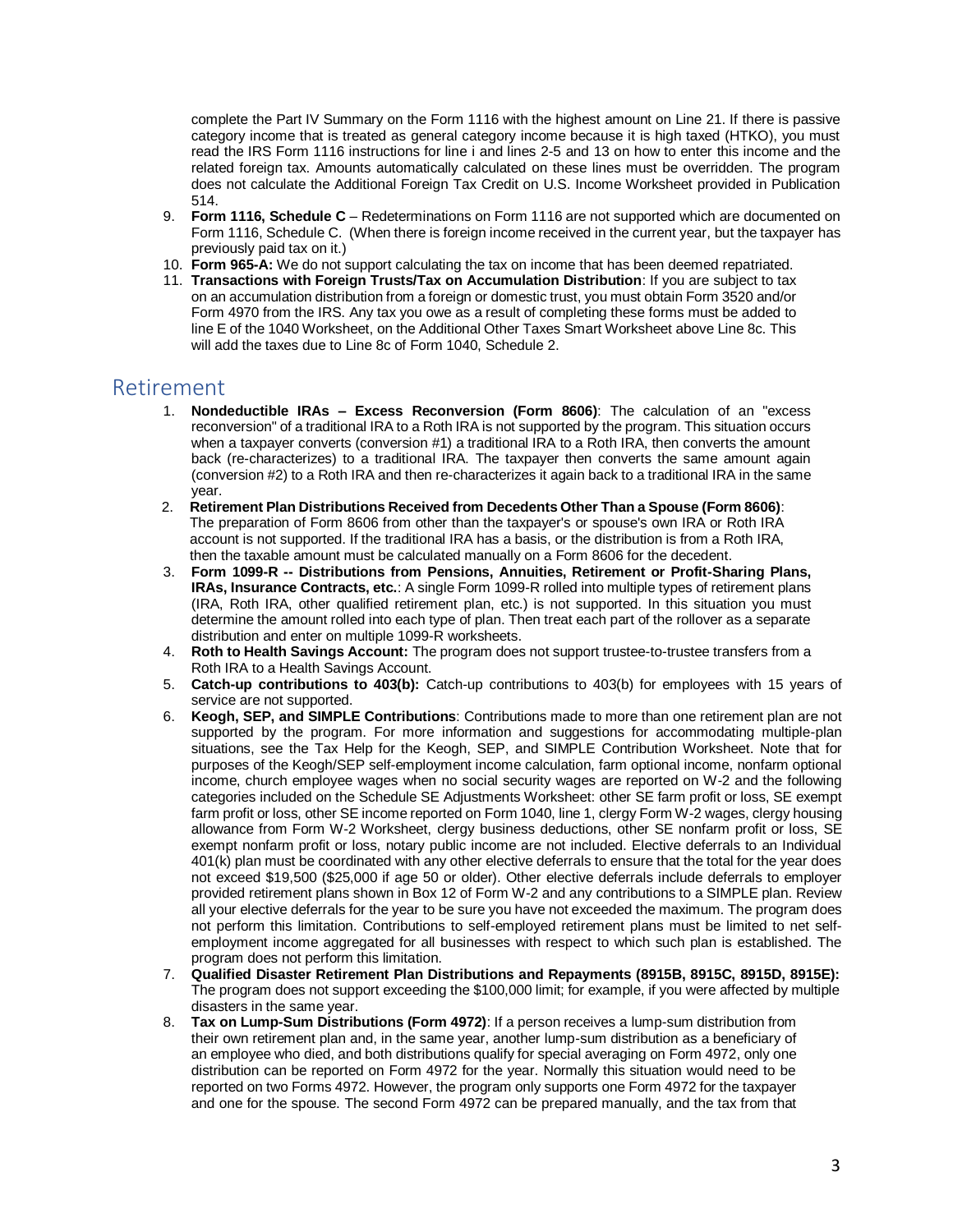complete the Part IV Summary on the Form 1116 with the highest amount on Line 21. If there is passive category income that is treated as general category income because it is high taxed (HTKO), you must read the IRS Form 1116 instructions for line i and lines 2-5 and 13 on how to enter this income and the related foreign tax. Amounts automatically calculated on these lines must be overridden. The program does not calculate the Additional Foreign Tax Credit on U.S. Income Worksheet provided in Publication 514.

- 9. **Form 1116, Schedule C** Redeterminations on Form 1116 are not supported which are documented on Form 1116, Schedule C. (When there is foreign income received in the current year, but the taxpayer has previously paid tax on it.)
- 10. **Form 965-A:** We do not support calculating the tax on income that has been deemed repatriated.
- 11. **Transactions with Foreign Trusts/Tax on Accumulation Distribution**: If you are subject to tax on an accumulation distribution from a foreign or domestic trust, you must obtain Form 3520 and/or Form 4970 from the IRS. Any tax you owe as a result of completing these forms must be added to line E of the 1040 Worksheet, on the Additional Other Taxes Smart Worksheet above Line 8c. This will add the taxes due to Line 8c of Form 1040, Schedule 2.

#### Retirement

- 1. **Nondeductible IRAs – Excess Reconversion (Form 8606)**: The calculation of an "excess reconversion" of a traditional IRA to a Roth IRA is not supported by the program. This situation occurs when a taxpayer converts (conversion #1) a traditional IRA to a Roth IRA, then converts the amount back (re-characterizes) to a traditional IRA. The taxpayer then converts the same amount again (conversion #2) to a Roth IRA and then re-characterizes it again back to a traditional IRA in the same year.
- 2. **Retirement Plan Distributions Received from Decedents Other Than a Spouse (Form 8606)**: The preparation of Form 8606 from other than the taxpayer's or spouse's own IRA or Roth IRA account is not supported. If the traditional IRA has a basis, or the distribution is from a Roth IRA, then the taxable amount must be calculated manually on a Form 8606 for the decedent.
- 3. **Form 1099-R -- Distributions from Pensions, Annuities, Retirement or Profit-Sharing Plans, IRAs, Insurance Contracts, etc.**: A single Form 1099-R rolled into multiple types of retirement plans (IRA, Roth IRA, other qualified retirement plan, etc.) is not supported. In this situation you must determine the amount rolled into each type of plan. Then treat each part of the rollover as a separate distribution and enter on multiple 1099-R worksheets.
- 4. **Roth to Health Savings Account:** The program does not support trustee-to-trustee transfers from a Roth IRA to a Health Savings Account.
- 5. **Catch-up contributions to 403(b):** Catch-up contributions to 403(b) for employees with 15 years of service are not supported.
- 6. **Keogh, SEP, and SIMPLE Contributions**: Contributions made to more than one retirement plan are not supported by the program. For more information and suggestions for accommodating multiple-plan situations, see the Tax Help for the Keogh, SEP, and SIMPLE Contribution Worksheet. Note that for purposes of the Keogh/SEP self-employment income calculation, farm optional income, nonfarm optional income, church employee wages when no social security wages are reported on W-2 and the following categories included on the Schedule SE Adjustments Worksheet: other SE farm profit or loss, SE exempt farm profit or loss, other SE income reported on Form 1040, line 1, clergy Form W-2 wages, clergy housing allowance from Form W-2 Worksheet, clergy business deductions, other SE nonfarm profit or loss, SE exempt nonfarm profit or loss, notary public income are not included. Elective deferrals to an Individual 401(k) plan must be coordinated with any other elective deferrals to ensure that the total for the year does not exceed \$19,500 (\$25,000 if age 50 or older). Other elective deferrals include deferrals to employer provided retirement plans shown in Box 12 of Form W-2 and any contributions to a SIMPLE plan. Review all your elective deferrals for the year to be sure you have not exceeded the maximum. The program does not perform this limitation. Contributions to self-employed retirement plans must be limited to net selfemployment income aggregated for all businesses with respect to which such plan is established. The program does not perform this limitation.
- 7. **Qualified Disaster Retirement Plan Distributions and Repayments (8915B, 8915C, 8915D, 8915E):** The program does not support exceeding the \$100,000 limit; for example, if you were affected by multiple disasters in the same year.
- 8. **Tax on Lump-Sum Distributions (Form 4972)**: If a person receives a lump-sum distribution from their own retirement plan and, in the same year, another lump-sum distribution as a beneficiary of an employee who died, and both distributions qualify for special averaging on Form 4972, only one distribution can be reported on Form 4972 for the year. Normally this situation would need to be reported on two Forms 4972. However, the program only supports one Form 4972 for the taxpayer and one for the spouse. The second Form 4972 can be prepared manually, and the tax from that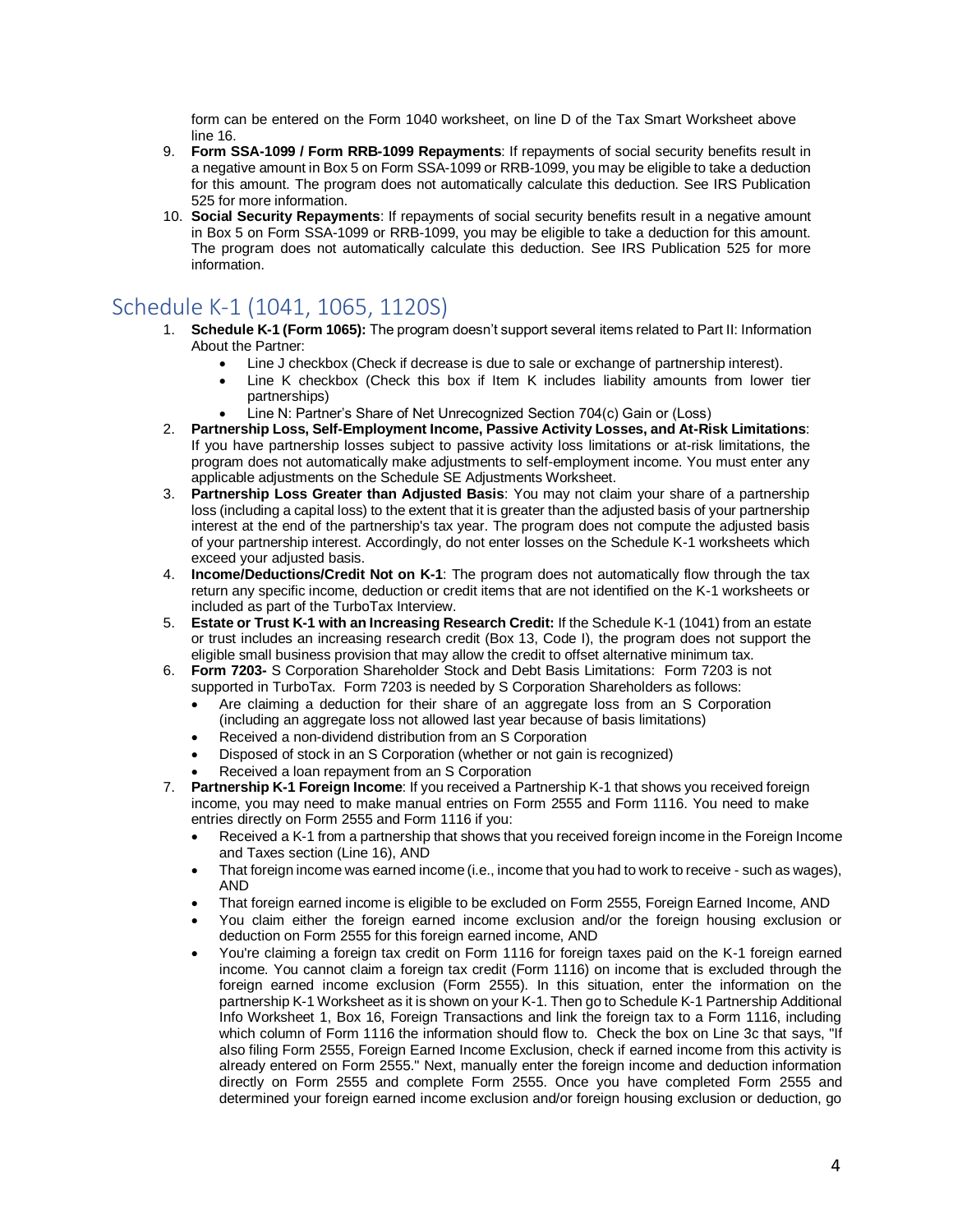form can be entered on the Form 1040 worksheet, on line D of the Tax Smart Worksheet above line 16.

- 9. **Form SSA-1099 / Form RRB-1099 Repayments**: If repayments of social security benefits result in a negative amount in Box 5 on Form SSA-1099 or RRB-1099, you may be eligible to take a deduction for this amount. The program does not automatically calculate this deduction. See IRS Publication 525 for more information.
- 10. **Social Security Repayments**: If repayments of social security benefits result in a negative amount in Box 5 on Form SSA-1099 or RRB-1099, you may be eligible to take a deduction for this amount. The program does not automatically calculate this deduction. See IRS Publication 525 for more information.

## Schedule K-1 (1041, 1065, 1120S)

- 1. **Schedule K-1 (Form 1065):** The program doesn't support several items related to Part II: Information About the Partner:
	- Line J checkbox (Check if decrease is due to sale or exchange of partnership interest).
	- Line K checkbox (Check this box if Item K includes liability amounts from lower tier partnerships)
	- Line N: Partner's Share of Net Unrecognized Section 704(c) Gain or (Loss)
- 2. **Partnership Loss, Self-Employment Income, Passive Activity Losses, and At-Risk Limitations**: If you have partnership losses subject to passive activity loss limitations or at-risk limitations, the program does not automatically make adjustments to self-employment income. You must enter any applicable adjustments on the Schedule SE Adjustments Worksheet.
- 3. **Partnership Loss Greater than Adjusted Basis**: You may not claim your share of a partnership loss (including a capital loss) to the extent that it is greater than the adjusted basis of your partnership interest at the end of the partnership's tax year. The program does not compute the adjusted basis of your partnership interest. Accordingly, do not enter losses on the Schedule K-1 worksheets which exceed your adjusted basis.
- 4. **Income/Deductions/Credit Not on K-1**: The program does not automatically flow through the tax return any specific income, deduction or credit items that are not identified on the K-1 worksheets or included as part of the TurboTax Interview.
- 5. **Estate or Trust K-1 with an Increasing Research Credit:** If the Schedule K-1 (1041) from an estate or trust includes an increasing research credit (Box 13, Code I), the program does not support the eligible small business provision that may allow the credit to offset alternative minimum tax.
- 6. **Form 7203-** S Corporation Shareholder Stock and Debt Basis Limitations: Form 7203 is not supported in TurboTax. Form 7203 is needed by S Corporation Shareholders as follows:
	- Are claiming a deduction for their share of an aggregate loss from an S Corporation (including an aggregate loss not allowed last year because of basis limitations)
	- Received a non-dividend distribution from an S Corporation
	- Disposed of stock in an S Corporation (whether or not gain is recognized)
	- Received a loan repayment from an S Corporation
- 7. **Partnership K-1 Foreign Income**: If you received a Partnership K-1 that shows you received foreign income, you may need to make manual entries on Form 2555 and Form 1116. You need to make entries directly on Form 2555 and Form 1116 if you:
	- Received a K-1 from a partnership that shows that you received foreign income in the Foreign Income and Taxes section (Line 16), AND
	- That foreign income was earned income (i.e., income that you had to work to receive such as wages), AND
	- That foreign earned income is eligible to be excluded on Form 2555, Foreign Earned Income, AND
	- You claim either the foreign earned income exclusion and/or the foreign housing exclusion or deduction on Form 2555 for this foreign earned income, AND
	- You're claiming a foreign tax credit on Form 1116 for foreign taxes paid on the K-1 foreign earned income. You cannot claim a foreign tax credit (Form 1116) on income that is excluded through the foreign earned income exclusion (Form 2555). In this situation, enter the information on the partnership K-1 Worksheet as it is shown on your K-1. Then go to Schedule K-1 Partnership Additional Info Worksheet 1, Box 16, Foreign Transactions and link the foreign tax to a Form 1116, including which column of Form 1116 the information should flow to. Check the box on Line 3c that says, "If also filing Form 2555, Foreign Earned Income Exclusion, check if earned income from this activity is already entered on Form 2555." Next, manually enter the foreign income and deduction information directly on Form 2555 and complete Form 2555. Once you have completed Form 2555 and determined your foreign earned income exclusion and/or foreign housing exclusion or deduction, go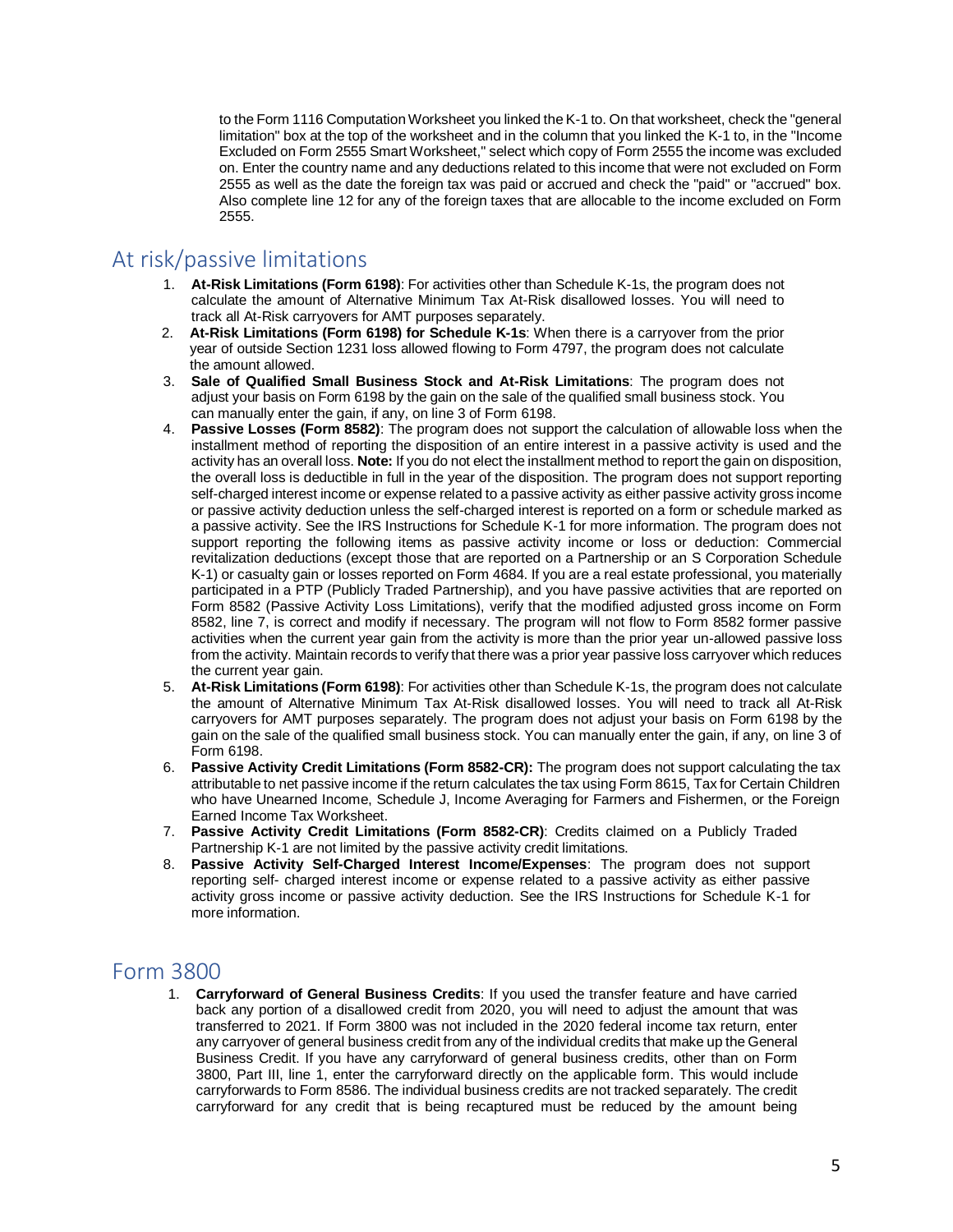to the Form 1116 Computation Worksheet you linked the K-1 to. On that worksheet, check the "general limitation" box at the top of the worksheet and in the column that you linked the K-1 to, in the "Income Excluded on Form 2555 Smart Worksheet," select which copy of Form 2555 the income was excluded on. Enter the country name and any deductions related to this income that were not excluded on Form 2555 as well as the date the foreign tax was paid or accrued and check the "paid" or "accrued" box. Also complete line 12 for any of the foreign taxes that are allocable to the income excluded on Form 2555.

## At risk/passive limitations

- 1. **At-Risk Limitations (Form 6198)**: For activities other than Schedule K-1s, the program does not calculate the amount of Alternative Minimum Tax At-Risk disallowed losses. You will need to track all At-Risk carryovers for AMT purposes separately.
- 2. **At-Risk Limitations (Form 6198) for Schedule K-1s**: When there is a carryover from the prior year of outside Section 1231 loss allowed flowing to Form 4797, the program does not calculate the amount allowed.
- 3. **Sale of Qualified Small Business Stock and At-Risk Limitations**: The program does not adjust your basis on Form 6198 by the gain on the sale of the qualified small business stock. You can manually enter the gain, if any, on line 3 of Form 6198.
- 4. **Passive Losses (Form 8582)**: The program does not support the calculation of allowable loss when the installment method of reporting the disposition of an entire interest in a passive activity is used and the activity has an overall loss. **Note:** If you do not elect the installment method to report the gain on disposition, the overall loss is deductible in full in the year of the disposition. The program does not support reporting self-charged interest income or expense related to a passive activity as either passive activity gross income or passive activity deduction unless the self-charged interest is reported on a form or schedule marked as a passive activity. See the IRS Instructions for Schedule K-1 for more information. The program does not support reporting the following items as passive activity income or loss or deduction: Commercial revitalization deductions (except those that are reported on a Partnership or an S Corporation Schedule K-1) or casualty gain or losses reported on Form 4684. If you are a real estate professional, you materially participated in a PTP (Publicly Traded Partnership), and you have passive activities that are reported on Form 8582 (Passive Activity Loss Limitations), verify that the modified adjusted gross income on Form 8582, line 7, is correct and modify if necessary. The program will not flow to Form 8582 former passive activities when the current year gain from the activity is more than the prior year un-allowed passive loss from the activity. Maintain records to verify that there was a prior year passive loss carryover which reduces the current year gain.
- 5. **At-Risk Limitations (Form 6198)**: For activities other than Schedule K-1s, the program does not calculate the amount of Alternative Minimum Tax At-Risk disallowed losses. You will need to track all At-Risk carryovers for AMT purposes separately. The program does not adjust your basis on Form 6198 by the gain on the sale of the qualified small business stock. You can manually enter the gain, if any, on line 3 of Form 6198.
- 6. **Passive Activity Credit Limitations (Form 8582-CR):** The program does not support calculating the tax attributable to net passive income if the return calculates the tax using Form 8615, Tax for Certain Children who have Unearned Income, Schedule J, Income Averaging for Farmers and Fishermen, or the Foreign Earned Income Tax Worksheet.
- 7. **Passive Activity Credit Limitations (Form 8582-CR)**: Credits claimed on a Publicly Traded Partnership K-1 are not limited by the passive activity credit limitations.
- 8. **Passive Activity Self-Charged Interest Income/Expenses**: The program does not support reporting self- charged interest income or expense related to a passive activity as either passive activity gross income or passive activity deduction. See the IRS Instructions for Schedule K-1 for more information.

#### Form 3800

1. **Carryforward of General Business Credits**: If you used the transfer feature and have carried back any portion of a disallowed credit from 2020, you will need to adjust the amount that was transferred to 2021. If Form 3800 was not included in the 2020 federal income tax return, enter any carryover of general business credit from any of the individual credits that make up the General Business Credit. If you have any carryforward of general business credits, other than on Form 3800, Part III, line 1, enter the carryforward directly on the applicable form. This would include carryforwards to Form 8586. The individual business credits are not tracked separately. The credit carryforward for any credit that is being recaptured must be reduced by the amount being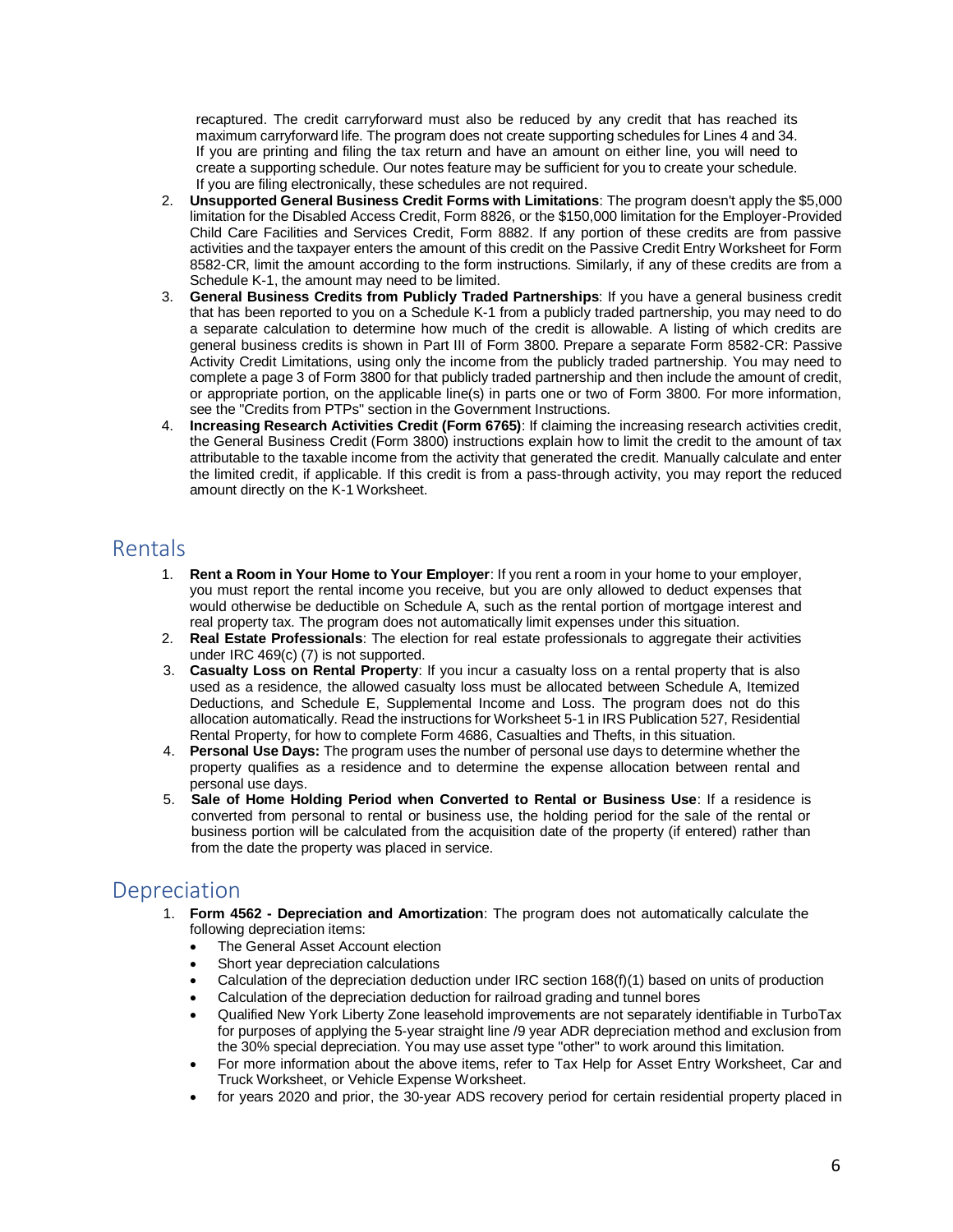recaptured. The credit carryforward must also be reduced by any credit that has reached its maximum carryforward life. The program does not create supporting schedules for Lines 4 and 34. If you are printing and filing the tax return and have an amount on either line, you will need to create a supporting schedule. Our notes feature may be sufficient for you to create your schedule. If you are filing electronically, these schedules are not required.

- 2. **Unsupported General Business Credit Forms with Limitations**: The program doesn't apply the \$5,000 limitation for the Disabled Access Credit, Form 8826, or the \$150,000 limitation for the Employer-Provided Child Care Facilities and Services Credit, Form 8882. If any portion of these credits are from passive activities and the taxpayer enters the amount of this credit on the Passive Credit Entry Worksheet for Form 8582-CR, limit the amount according to the form instructions. Similarly, if any of these credits are from a Schedule K-1, the amount may need to be limited.
- 3. **General Business Credits from Publicly Traded Partnerships**: If you have a general business credit that has been reported to you on a Schedule K-1 from a publicly traded partnership, you may need to do a separate calculation to determine how much of the credit is allowable. A listing of which credits are general business credits is shown in Part III of Form 3800. Prepare a separate Form 8582-CR: Passive Activity Credit Limitations, using only the income from the publicly traded partnership. You may need to complete a page 3 of Form 3800 for that publicly traded partnership and then include the amount of credit, or appropriate portion, on the applicable line(s) in parts one or two of Form 3800. For more information, see the "Credits from PTPs" section in the Government Instructions.
- 4. **Increasing Research Activities Credit (Form 6765)**: If claiming the increasing research activities credit, the General Business Credit (Form 3800) instructions explain how to limit the credit to the amount of tax attributable to the taxable income from the activity that generated the credit. Manually calculate and enter the limited credit, if applicable. If this credit is from a pass-through activity, you may report the reduced amount directly on the K-1 Worksheet.

#### Rentals

- 1. **Rent a Room in Your Home to Your Employer**: If you rent a room in your home to your employer, you must report the rental income you receive, but you are only allowed to deduct expenses that would otherwise be deductible on Schedule A, such as the rental portion of mortgage interest and real property tax. The program does not automatically limit expenses under this situation.
- 2. **Real Estate Professionals**: The election for real estate professionals to aggregate their activities under IRC 469(c) (7) is not supported.
- 3. **Casualty Loss on Rental Property**: If you incur a casualty loss on a rental property that is also used as a residence, the allowed casualty loss must be allocated between Schedule A, Itemized Deductions, and Schedule E, Supplemental Income and Loss. The program does not do this allocation automatically. Read the instructions for Worksheet 5-1 in IRS Publication 527, Residential Rental Property, for how to complete Form 4686, Casualties and Thefts, in this situation.
- 4. **Personal Use Days:** The program uses the number of personal use days to determine whether the property qualifies as a residence and to determine the expense allocation between rental and personal use days.
- 5. **Sale of Home Holding Period when Converted to Rental or Business Use**: If a residence is converted from personal to rental or business use, the holding period for the sale of the rental or business portion will be calculated from the acquisition date of the property (if entered) rather than from the date the property was placed in service.

## **Depreciation**

- 1. **Form 4562 - Depreciation and Amortization**: The program does not automatically calculate the following depreciation items:
	- The General Asset Account election
	- Short year depreciation calculations
	- Calculation of the depreciation deduction under IRC section 168(f)(1) based on units of production
	- Calculation of the depreciation deduction for railroad grading and tunnel bores
	- Qualified New York Liberty Zone leasehold improvements are not separately identifiable in TurboTax for purposes of applying the 5-year straight line /9 year ADR depreciation method and exclusion from the 30% special depreciation. You may use asset type "other" to work around this limitation.
	- For more information about the above items, refer to Tax Help for Asset Entry Worksheet, Car and Truck Worksheet, or Vehicle Expense Worksheet.
	- for years 2020 and prior, the 30-year ADS recovery period for certain residential property placed in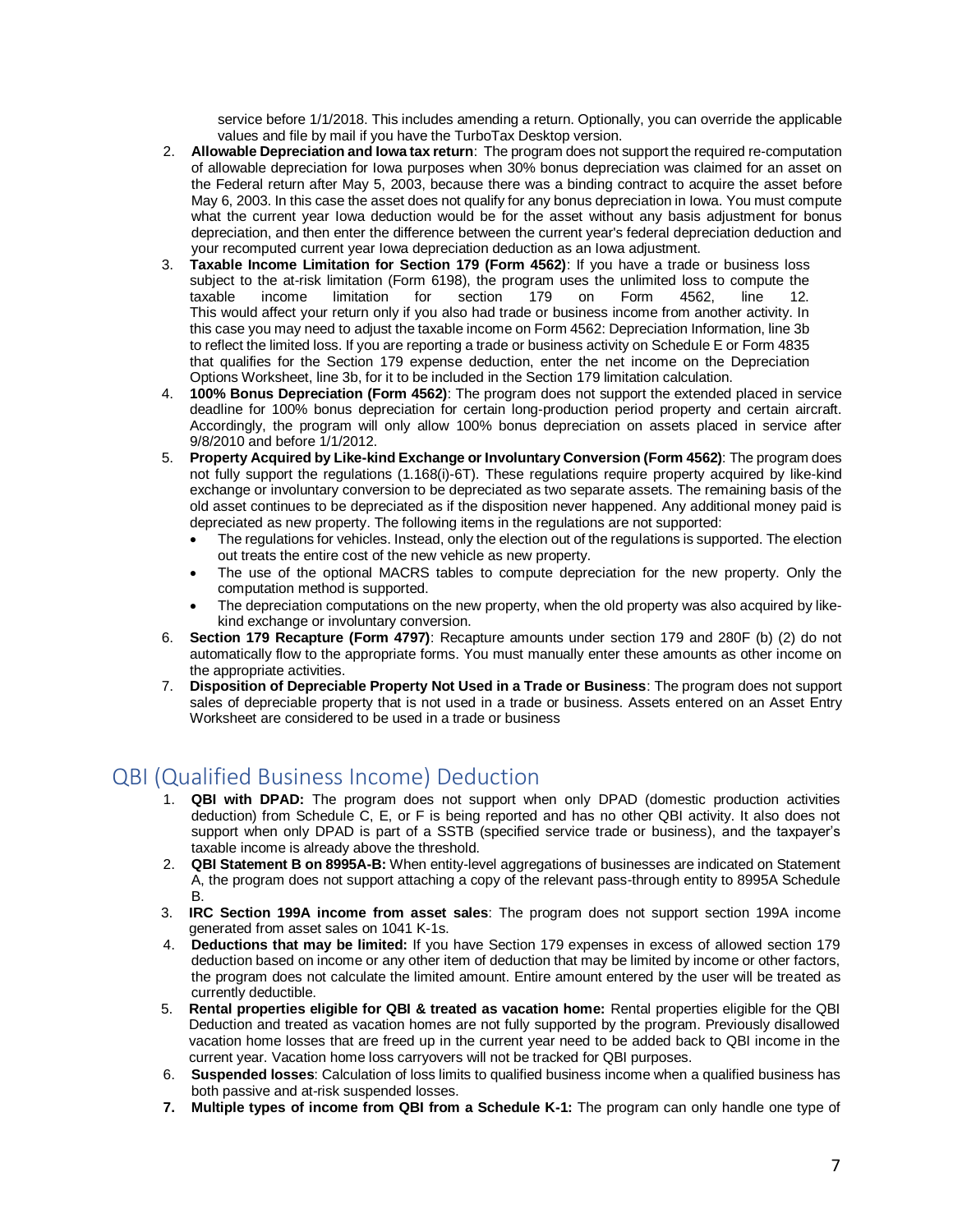service before 1/1/2018. This includes amending a return. Optionally, you can override the applicable values and file by mail if you have the TurboTax Desktop version.

- 2. **Allowable Depreciation and Iowa tax return**: The program does not support the required re-computation of allowable depreciation for Iowa purposes when 30% bonus depreciation was claimed for an asset on the Federal return after May 5, 2003, because there was a binding contract to acquire the asset before May 6, 2003. In this case the asset does not qualify for any bonus depreciation in Iowa. You must compute what the current year Iowa deduction would be for the asset without any basis adjustment for bonus depreciation, and then enter the difference between the current year's federal depreciation deduction and your recomputed current year Iowa depreciation deduction as an Iowa adjustment.
- 3. **Taxable Income Limitation for Section 179 (Form 4562)**: If you have a trade or business loss subject to the at-risk limitation (Form 6198), the program uses the unlimited loss to compute the taxable income limitation for section 179 on Form 4562, line 12. This would affect your return only if you also had trade or business income from another activity. In this case you may need to adjust the taxable income on Form 4562: Depreciation Information, line 3b to reflect the limited loss. If you are reporting a trade or business activity on Schedule E or Form 4835 that qualifies for the Section 179 expense deduction, enter the net income on the Depreciation Options Worksheet, line 3b, for it to be included in the Section 179 limitation calculation.
- 4. **100% Bonus Depreciation (Form 4562)**: The program does not support the extended placed in service deadline for 100% bonus depreciation for certain long-production period property and certain aircraft. Accordingly, the program will only allow 100% bonus depreciation on assets placed in service after 9/8/2010 and before 1/1/2012.
- 5. **Property Acquired by Like-kind Exchange or Involuntary Conversion (Form 4562)**: The program does not fully support the regulations (1.168(i)-6T). These regulations require property acquired by like-kind exchange or involuntary conversion to be depreciated as two separate assets. The remaining basis of the old asset continues to be depreciated as if the disposition never happened. Any additional money paid is depreciated as new property. The following items in the regulations are not supported:
	- The regulations for vehicles. Instead, only the election out of the regulations is supported. The election out treats the entire cost of the new vehicle as new property.
	- The use of the optional MACRS tables to compute depreciation for the new property. Only the computation method is supported.
	- The depreciation computations on the new property, when the old property was also acquired by likekind exchange or involuntary conversion.
- 6. **Section 179 Recapture (Form 4797)**: Recapture amounts under section 179 and 280F (b) (2) do not automatically flow to the appropriate forms. You must manually enter these amounts as other income on the appropriate activities.
- 7. **Disposition of Depreciable Property Not Used in a Trade or Business**: The program does not support sales of depreciable property that is not used in a trade or business. Assets entered on an Asset Entry Worksheet are considered to be used in a trade or business

# QBI (Qualified Business Income) Deduction

- 1. **QBI with DPAD:** The program does not support when only DPAD (domestic production activities deduction) from Schedule C, E, or F is being reported and has no other QBI activity. It also does not support when only DPAD is part of a SSTB (specified service trade or business), and the taxpayer's taxable income is already above the threshold.
- 2. **QBI Statement B on 8995A-B:** When entity-level aggregations of businesses are indicated on Statement A, the program does not support attaching a copy of the relevant pass-through entity to 8995A Schedule B.
- 3. **IRC Section 199A income from asset sales**: The program does not support section 199A income generated from asset sales on 1041 K-1s.
- 4. **Deductions that may be limited:** If you have Section 179 expenses in excess of allowed section 179 deduction based on income or any other item of deduction that may be limited by income or other factors, the program does not calculate the limited amount. Entire amount entered by the user will be treated as currently deductible.
- 5. **Rental properties eligible for QBI & treated as vacation home:** Rental properties eligible for the QBI Deduction and treated as vacation homes are not fully supported by the program. Previously disallowed vacation home losses that are freed up in the current year need to be added back to QBI income in the current year. Vacation home loss carryovers will not be tracked for QBI purposes.
- 6. **Suspended losses**: Calculation of loss limits to qualified business income when a qualified business has both passive and at-risk suspended losses.
- **7. Multiple types of income from QBI from a Schedule K-1:** The program can only handle one type of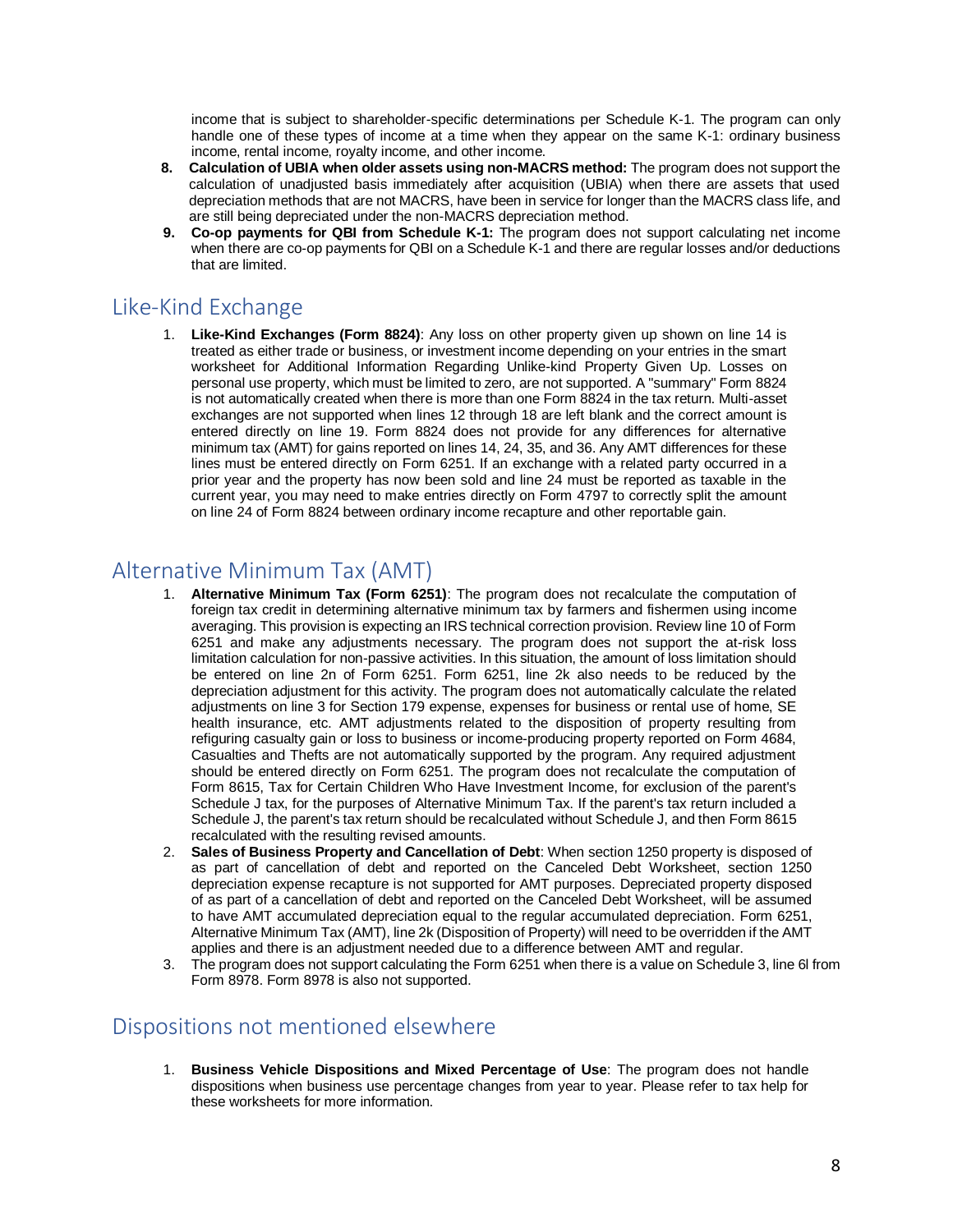income that is subject to shareholder-specific determinations per Schedule K-1. The program can only handle one of these types of income at a time when they appear on the same K-1: ordinary business income, rental income, royalty income, and other income.

- **8. Calculation of UBIA when older assets using non-MACRS method:** The program does not support the calculation of unadjusted basis immediately after acquisition (UBIA) when there are assets that used depreciation methods that are not MACRS, have been in service for longer than the MACRS class life, and are still being depreciated under the non-MACRS depreciation method.
- **9. Co-op payments for QBI from Schedule K-1:** The program does not support calculating net income when there are co-op payments for QBI on a Schedule K-1 and there are regular losses and/or deductions that are limited.

# Like-Kind Exchange

1. **Like-Kind Exchanges (Form 8824)**: Any loss on other property given up shown on line 14 is treated as either trade or business, or investment income depending on your entries in the smart worksheet for Additional Information Regarding Unlike-kind Property Given Up. Losses on personal use property, which must be limited to zero, are not supported. A "summary" Form 8824 is not automatically created when there is more than one Form 8824 in the tax return. Multi-asset exchanges are not supported when lines 12 through 18 are left blank and the correct amount is entered directly on line 19. Form 8824 does not provide for any differences for alternative minimum tax (AMT) for gains reported on lines 14, 24, 35, and 36. Any AMT differences for these lines must be entered directly on Form 6251. If an exchange with a related party occurred in a prior year and the property has now been sold and line 24 must be reported as taxable in the current year, you may need to make entries directly on Form 4797 to correctly split the amount on line 24 of Form 8824 between ordinary income recapture and other reportable gain.

## Alternative Minimum Tax (AMT)

- 1. **Alternative Minimum Tax (Form 6251)**: The program does not recalculate the computation of foreign tax credit in determining alternative minimum tax by farmers and fishermen using income averaging. This provision is expecting an IRS technical correction provision. Review line 10 of Form 6251 and make any adjustments necessary. The program does not support the at-risk loss limitation calculation for non-passive activities. In this situation, the amount of loss limitation should be entered on line 2n of Form 6251. Form 6251, line 2k also needs to be reduced by the depreciation adjustment for this activity. The program does not automatically calculate the related adjustments on line 3 for Section 179 expense, expenses for business or rental use of home, SE health insurance, etc. AMT adjustments related to the disposition of property resulting from refiguring casualty gain or loss to business or income-producing property reported on Form 4684, Casualties and Thefts are not automatically supported by the program. Any required adjustment should be entered directly on Form 6251. The program does not recalculate the computation of Form 8615, Tax for Certain Children Who Have Investment Income, for exclusion of the parent's Schedule J tax, for the purposes of Alternative Minimum Tax. If the parent's tax return included a Schedule J, the parent's tax return should be recalculated without Schedule J, and then Form 8615 recalculated with the resulting revised amounts.
- 2. **Sales of Business Property and Cancellation of Debt**: When section 1250 property is disposed of as part of cancellation of debt and reported on the Canceled Debt Worksheet, section 1250 depreciation expense recapture is not supported for AMT purposes. Depreciated property disposed of as part of a cancellation of debt and reported on the Canceled Debt Worksheet, will be assumed to have AMT accumulated depreciation equal to the regular accumulated depreciation. Form 6251, Alternative Minimum Tax (AMT), line 2k (Disposition of Property) will need to be overridden if the AMT applies and there is an adjustment needed due to a difference between AMT and regular.
- 3. The program does not support calculating the Form 6251 when there is a value on Schedule 3, line 6l from Form 8978. Form 8978 is also not supported.

#### Dispositions not mentioned elsewhere

1. **Business Vehicle Dispositions and Mixed Percentage of Use**: The program does not handle dispositions when business use percentage changes from year to year. Please refer to tax help for these worksheets for more information.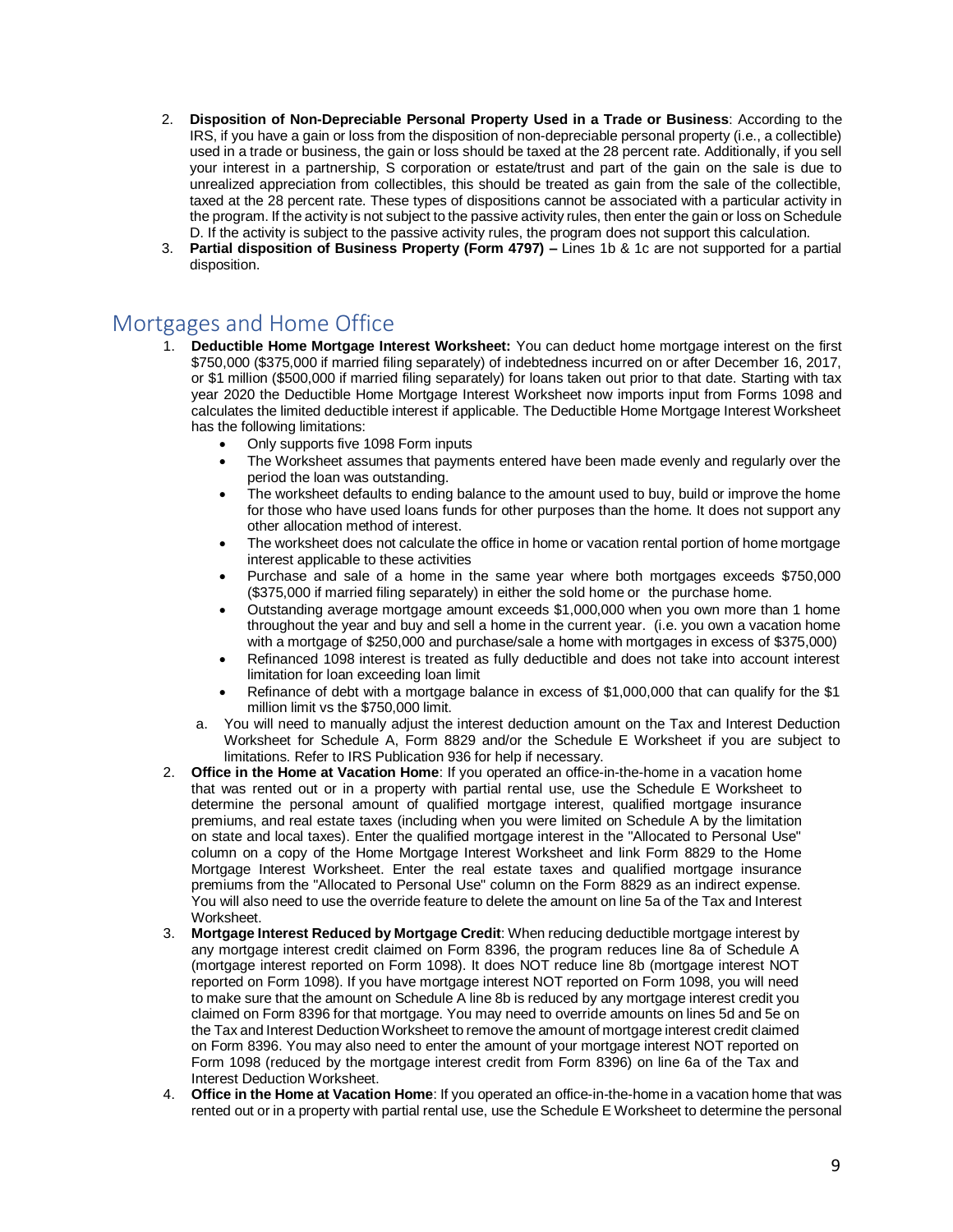- 2. **Disposition of Non-Depreciable Personal Property Used in a Trade or Business**: According to the IRS, if you have a gain or loss from the disposition of non-depreciable personal property (i.e., a collectible) used in a trade or business, the gain or loss should be taxed at the 28 percent rate. Additionally, if you sell your interest in a partnership, S corporation or estate/trust and part of the gain on the sale is due to unrealized appreciation from collectibles, this should be treated as gain from the sale of the collectible, taxed at the 28 percent rate. These types of dispositions cannot be associated with a particular activity in the program. If the activity is not subject to the passive activity rules, then enter the gain or loss on Schedule D. If the activity is subject to the passive activity rules, the program does not support this calculation.
- 3. **Partial disposition of Business Property (Form 4797) –** Lines 1b & 1c are not supported for a partial disposition.

## Mortgages and Home Office

- 1. **Deductible Home Mortgage Interest Worksheet:** You can deduct home mortgage interest on the first \$750,000 (\$375,000 if married filing separately) of indebtedness incurred on or after December 16, 2017, or \$1 million (\$500,000 if married filing separately) for loans taken out prior to that date. Starting with tax year 2020 the Deductible Home Mortgage Interest Worksheet now imports input from Forms 1098 and calculates the limited deductible interest if applicable. The Deductible Home Mortgage Interest Worksheet has the following limitations:
	- Only supports five 1098 Form inputs
	- The Worksheet assumes that payments entered have been made evenly and regularly over the period the loan was outstanding.
	- The worksheet defaults to ending balance to the amount used to buy, build or improve the home for those who have used loans funds for other purposes than the home. It does not support any other allocation method of interest.
	- The worksheet does not calculate the office in home or vacation rental portion of home mortgage interest applicable to these activities
	- Purchase and sale of a home in the same year where both mortgages exceeds \$750,000 (\$375,000 if married filing separately) in either the sold home or the purchase home.
	- Outstanding average mortgage amount exceeds \$1,000,000 when you own more than 1 home throughout the year and buy and sell a home in the current year. (i.e. you own a vacation home with a mortgage of \$250,000 and purchase/sale a home with mortgages in excess of \$375,000)
	- Refinanced 1098 interest is treated as fully deductible and does not take into account interest limitation for loan exceeding loan limit
	- Refinance of debt with a mortgage balance in excess of \$1,000,000 that can qualify for the \$1 million limit vs the \$750,000 limit.
	- a. You will need to manually adjust the interest deduction amount on the Tax and Interest Deduction Worksheet for Schedule A, Form 8829 and/or the Schedule E Worksheet if you are subject to limitations. Refer to IRS Publication 936 for help if necessary.
- 2. **Office in the Home at Vacation Home**: If you operated an office-in-the-home in a vacation home that was rented out or in a property with partial rental use, use the Schedule E Worksheet to determine the personal amount of qualified mortgage interest, qualified mortgage insurance premiums, and real estate taxes (including when you were limited on Schedule A by the limitation on state and local taxes). Enter the qualified mortgage interest in the "Allocated to Personal Use" column on a copy of the Home Mortgage Interest Worksheet and link Form 8829 to the Home Mortgage Interest Worksheet. Enter the real estate taxes and qualified mortgage insurance premiums from the "Allocated to Personal Use" column on the Form 8829 as an indirect expense. You will also need to use the override feature to delete the amount on line 5a of the Tax and Interest Worksheet.
- 3. **Mortgage Interest Reduced by Mortgage Credit**: When reducing deductible mortgage interest by any mortgage interest credit claimed on Form 8396, the program reduces line 8a of Schedule A (mortgage interest reported on Form 1098). It does NOT reduce line 8b (mortgage interest NOT reported on Form 1098). If you have mortgage interest NOT reported on Form 1098, you will need to make sure that the amount on Schedule A line 8b is reduced by any mortgage interest credit you claimed on Form 8396 for that mortgage. You may need to override amounts on lines 5d and 5e on the Tax and Interest Deduction Worksheet to remove the amount of mortgage interest credit claimed on Form 8396. You may also need to enter the amount of your mortgage interest NOT reported on Form 1098 (reduced by the mortgage interest credit from Form 8396) on line 6a of the Tax and Interest Deduction Worksheet.
- 4. **Office in the Home at Vacation Home**: If you operated an office-in-the-home in a vacation home that was rented out or in a property with partial rental use, use the Schedule E Worksheet to determine the personal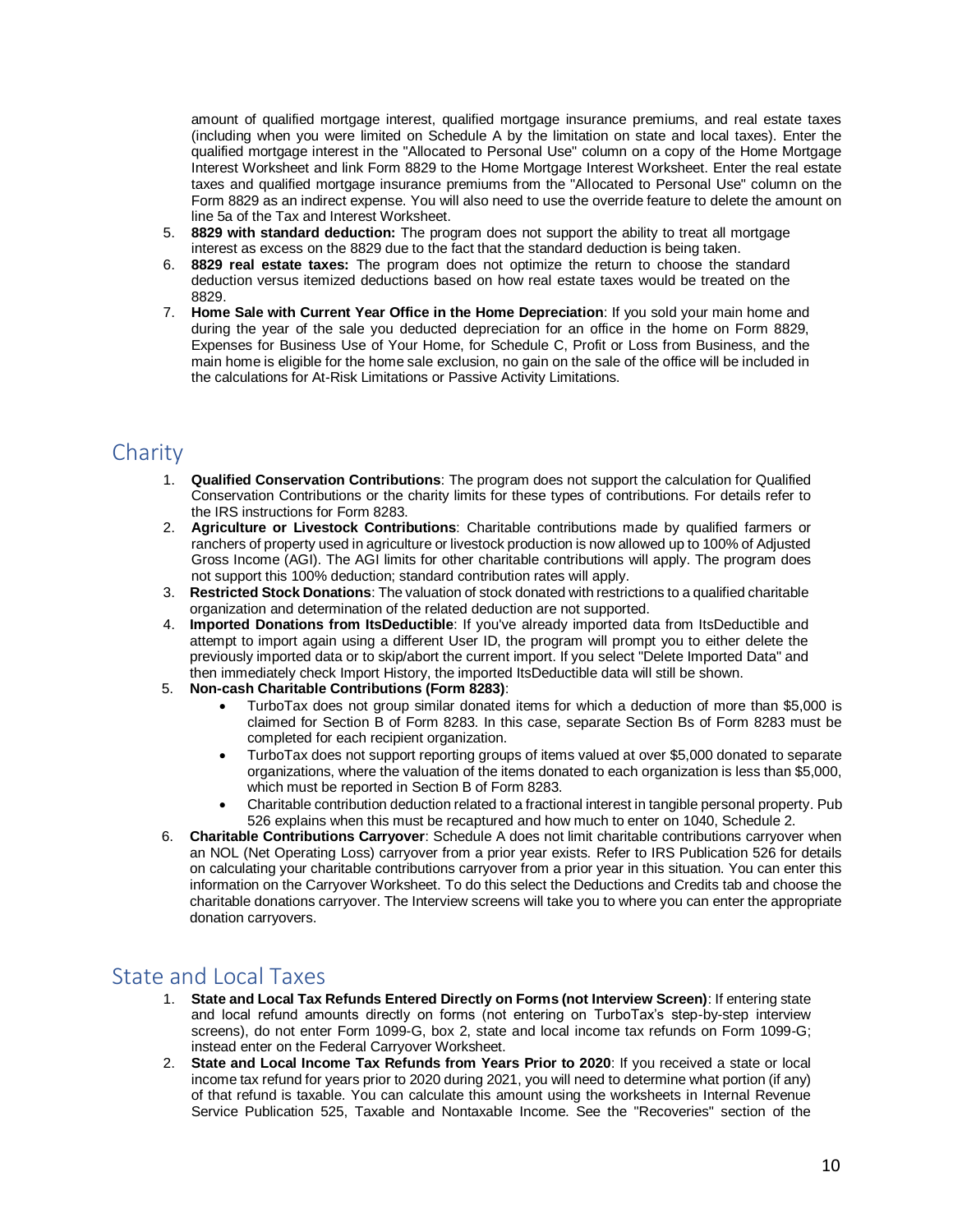amount of qualified mortgage interest, qualified mortgage insurance premiums, and real estate taxes (including when you were limited on Schedule A by the limitation on state and local taxes). Enter the qualified mortgage interest in the "Allocated to Personal Use" column on a copy of the Home Mortgage Interest Worksheet and link Form 8829 to the Home Mortgage Interest Worksheet. Enter the real estate taxes and qualified mortgage insurance premiums from the "Allocated to Personal Use" column on the Form 8829 as an indirect expense. You will also need to use the override feature to delete the amount on line 5a of the Tax and Interest Worksheet.

- 5. **8829 with standard deduction:** The program does not support the ability to treat all mortgage interest as excess on the 8829 due to the fact that the standard deduction is being taken.
- 6. **8829 real estate taxes:** The program does not optimize the return to choose the standard deduction versus itemized deductions based on how real estate taxes would be treated on the 8829.
- 7. **Home Sale with Current Year Office in the Home Depreciation**: If you sold your main home and during the year of the sale you deducted depreciation for an office in the home on Form 8829, Expenses for Business Use of Your Home, for Schedule C, Profit or Loss from Business, and the main home is eligible for the home sale exclusion, no gain on the sale of the office will be included in the calculations for At-Risk Limitations or Passive Activity Limitations.

## Charity

- 1. **Qualified Conservation Contributions**: The program does not support the calculation for Qualified Conservation Contributions or the charity limits for these types of contributions. For details refer to the IRS instructions for Form 8283.
- 2. **Agriculture or Livestock Contributions**: Charitable contributions made by qualified farmers or ranchers of property used in agriculture or livestock production is now allowed up to 100% of Adjusted Gross Income (AGI). The AGI limits for other charitable contributions will apply. The program does not support this 100% deduction; standard contribution rates will apply.
- 3. **Restricted Stock Donations**: The valuation of stock donated with restrictions to a qualified charitable organization and determination of the related deduction are not supported.
- 4. **Imported Donations from ItsDeductible**: If you've already imported data from ItsDeductible and attempt to import again using a different User ID, the program will prompt you to either delete the previously imported data or to skip/abort the current import. If you select "Delete Imported Data" and then immediately check Import History, the imported ItsDeductible data will still be shown.
- 5. **Non-cash Charitable Contributions (Form 8283)**:
	- TurboTax does not group similar donated items for which a deduction of more than \$5,000 is claimed for Section B of Form 8283. In this case, separate Section Bs of Form 8283 must be completed for each recipient organization.
	- TurboTax does not support reporting groups of items valued at over \$5,000 donated to separate organizations, where the valuation of the items donated to each organization is less than \$5,000, which must be reported in Section B of Form 8283.
	- Charitable contribution deduction related to a fractional interest in tangible personal property. Pub 526 explains when this must be recaptured and how much to enter on 1040, Schedule 2.
- 6. **Charitable Contributions Carryover**: Schedule A does not limit charitable contributions carryover when an NOL (Net Operating Loss) carryover from a prior year exists. Refer to IRS Publication 526 for details on calculating your charitable contributions carryover from a prior year in this situation. You can enter this information on the Carryover Worksheet. To do this select the Deductions and Credits tab and choose the charitable donations carryover. The Interview screens will take you to where you can enter the appropriate donation carryovers.

## State and Local Taxes

- 1. **State and Local Tax Refunds Entered Directly on Forms (not Interview Screen)**: If entering state and local refund amounts directly on forms (not entering on TurboTax's step-by-step interview screens), do not enter Form 1099-G, box 2, state and local income tax refunds on Form 1099-G; instead enter on the Federal Carryover Worksheet.
- 2. **State and Local Income Tax Refunds from Years Prior to 2020**: If you received a state or local income tax refund for years prior to 2020 during 2021, you will need to determine what portion (if any) of that refund is taxable. You can calculate this amount using the worksheets in Internal Revenue Service Publication 525, Taxable and Nontaxable Income. See the "Recoveries" section of the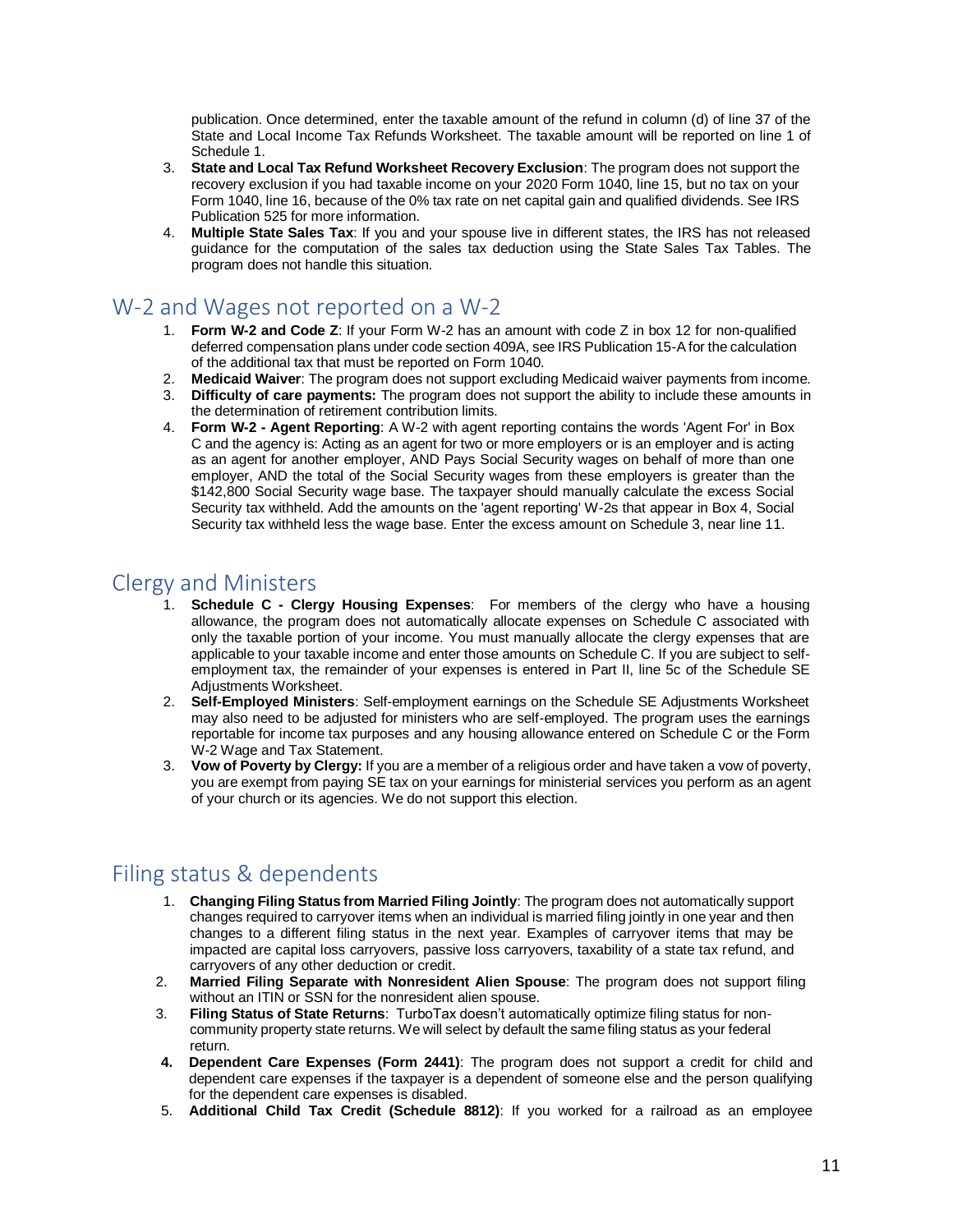publication. Once determined, enter the taxable amount of the refund in column (d) of line 37 of the State and Local Income Tax Refunds Worksheet. The taxable amount will be reported on line 1 of Schedule 1.

- 3. **State and Local Tax Refund Worksheet Recovery Exclusion**: The program does not support the recovery exclusion if you had taxable income on your 2020 Form 1040, line 15, but no tax on your Form 1040, line 16, because of the 0% tax rate on net capital gain and qualified dividends. See IRS Publication 525 for more information.
- 4. **Multiple State Sales Tax**: If you and your spouse live in different states, the IRS has not released guidance for the computation of the sales tax deduction using the State Sales Tax Tables. The program does not handle this situation.

#### W-2 and Wages not reported on a W-2

- 1. **Form W-2 and Code Z**: If your Form W-2 has an amount with code Z in box 12 for non-qualified deferred compensation plans under code section 409A, see IRS Publication 15-A for the calculation of the additional tax that must be reported on Form 1040.
- 2. **Medicaid Waiver**: The program does not support excluding Medicaid waiver payments from income.
- 3. **Difficulty of care payments:** The program does not support the ability to include these amounts in the determination of retirement contribution limits.
- 4. **Form W-2 - Agent Reporting**: A W-2 with agent reporting contains the words 'Agent For' in Box C and the agency is: Acting as an agent for two or more employers or is an employer and is acting as an agent for another employer, AND Pays Social Security wages on behalf of more than one employer, AND the total of the Social Security wages from these employers is greater than the \$142,800 Social Security wage base. The taxpayer should manually calculate the excess Social Security tax withheld. Add the amounts on the 'agent reporting' W-2s that appear in Box 4, Social Security tax withheld less the wage base. Enter the excess amount on Schedule 3, near line 11.

#### Clergy and Ministers

- 1. **Schedule C - Clergy Housing Expenses**: For members of the clergy who have a housing allowance, the program does not automatically allocate expenses on Schedule C associated with only the taxable portion of your income. You must manually allocate the clergy expenses that are applicable to your taxable income and enter those amounts on Schedule C. If you are subject to selfemployment tax, the remainder of your expenses is entered in Part II, line 5c of the Schedule SE Adjustments Worksheet.
- 2. **Self-Employed Ministers**: Self-employment earnings on the Schedule SE Adjustments Worksheet may also need to be adjusted for ministers who are self-employed. The program uses the earnings reportable for income tax purposes and any housing allowance entered on Schedule C or the Form W-2 Wage and Tax Statement.
- 3. **Vow of Poverty by Clergy:** If you are a member of a religious order and have taken a vow of poverty, you are exempt from paying SE tax on your earnings for ministerial services you perform as an agent of your church or its agencies. We do not support this election.

# Filing status & dependents

- 1. **Changing Filing Status from Married Filing Jointly**: The program does not automatically support changes required to carryover items when an individual is married filing jointly in one year and then changes to a different filing status in the next year. Examples of carryover items that may be impacted are capital loss carryovers, passive loss carryovers, taxability of a state tax refund, and carryovers of any other deduction or credit.
- 2. **Married Filing Separate with Nonresident Alien Spouse**: The program does not support filing without an ITIN or SSN for the nonresident alien spouse.
- 3. **Filing Status of State Returns**: TurboTax doesn't automatically optimize filing status for noncommunity property state returns. We will select by default the same filing status as your federal return.
- **4. Dependent Care Expenses (Form 2441)**: The program does not support a credit for child and dependent care expenses if the taxpayer is a dependent of someone else and the person qualifying for the dependent care expenses is disabled.
- 5. **Additional Child Tax Credit (Schedule 8812)**: If you worked for a railroad as an employee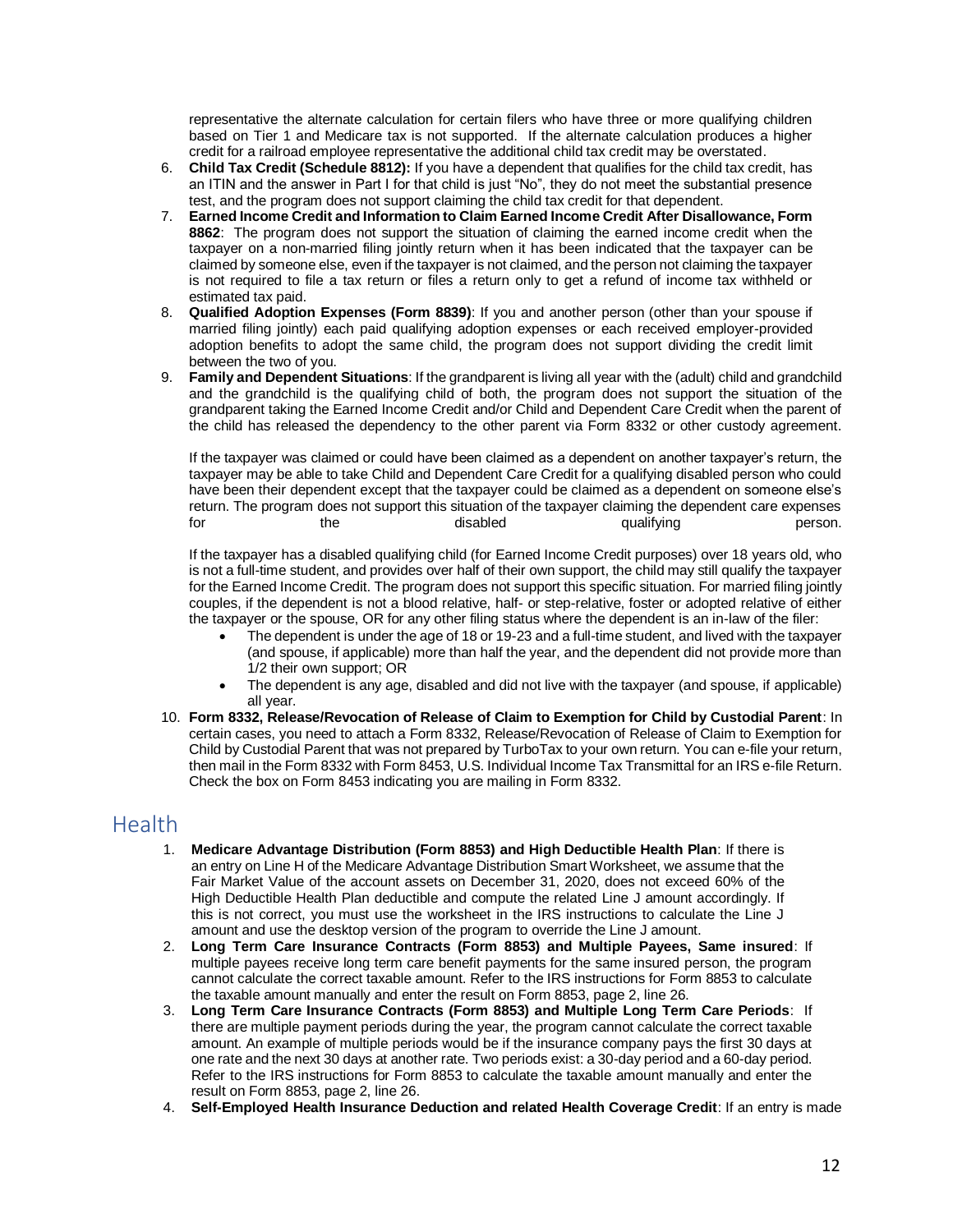representative the alternate calculation for certain filers who have three or more qualifying children based on Tier 1 and Medicare tax is not supported. If the alternate calculation produces a higher credit for a railroad employee representative the additional child tax credit may be overstated.

- 6. **Child Tax Credit (Schedule 8812):** If you have a dependent that qualifies for the child tax credit, has an ITIN and the answer in Part I for that child is just "No", they do not meet the substantial presence test, and the program does not support claiming the child tax credit for that dependent.
- 7. **Earned Income Credit and Information to Claim Earned Income Credit After Disallowance, Form 8862**: The program does not support the situation of claiming the earned income credit when the taxpayer on a non-married filing jointly return when it has been indicated that the taxpayer can be claimed by someone else, even if the taxpayer is not claimed, and the person not claiming the taxpayer is not required to file a tax return or files a return only to get a refund of income tax withheld or estimated tax paid.
- 8. **Qualified Adoption Expenses (Form 8839)**: If you and another person (other than your spouse if married filing jointly) each paid qualifying adoption expenses or each received employer-provided adoption benefits to adopt the same child, the program does not support dividing the credit limit between the two of you.
- 9. **Family and Dependent Situations**: If the grandparent is living all year with the (adult) child and grandchild and the grandchild is the qualifying child of both, the program does not support the situation of the grandparent taking the Earned Income Credit and/or Child and Dependent Care Credit when the parent of the child has released the dependency to the other parent via Form 8332 or other custody agreement.

If the taxpayer was claimed or could have been claimed as a dependent on another taxpayer's return, the taxpayer may be able to take Child and Dependent Care Credit for a qualifying disabled person who could have been their dependent except that the taxpayer could be claimed as a dependent on someone else's return. The program does not support this situation of the taxpayer claiming the dependent care expenses<br>for duralifying the dependent care expenses<br>person. for the disabled qualifying person.

If the taxpayer has a disabled qualifying child (for Earned Income Credit purposes) over 18 years old, who is not a full-time student, and provides over half of their own support, the child may still qualify the taxpayer for the Earned Income Credit. The program does not support this specific situation. For married filing jointly couples, if the dependent is not a blood relative, half- or step-relative, foster or adopted relative of either the taxpayer or the spouse, OR for any other filing status where the dependent is an in-law of the filer:

- The dependent is under the age of 18 or 19-23 and a full-time student, and lived with the taxpayer (and spouse, if applicable) more than half the year, and the dependent did not provide more than 1/2 their own support; OR
- The dependent is any age, disabled and did not live with the taxpayer (and spouse, if applicable) all year.
- 10. **Form 8332, Release/Revocation of Release of Claim to Exemption for Child by Custodial Parent**: In certain cases, you need to attach a Form 8332, Release/Revocation of Release of Claim to Exemption for Child by Custodial Parent that was not prepared by TurboTax to your own return. You can e-file your return, then mail in the Form 8332 with Form 8453, U.S. Individual Income Tax Transmittal for an IRS e-file Return. Check the box on Form 8453 indicating you are mailing in Form 8332.

#### Health

- 1. **Medicare Advantage Distribution (Form 8853) and High Deductible Health Plan**: If there is an entry on Line H of the Medicare Advantage Distribution Smart Worksheet, we assume that the Fair Market Value of the account assets on December 31, 2020, does not exceed 60% of the High Deductible Health Plan deductible and compute the related Line J amount accordingly. If this is not correct, you must use the worksheet in the IRS instructions to calculate the Line J amount and use the desktop version of the program to override the Line J amount.
- 2. **Long Term Care Insurance Contracts (Form 8853) and Multiple Payees, Same insured**: If multiple payees receive long term care benefit payments for the same insured person, the program cannot calculate the correct taxable amount. Refer to the IRS instructions for Form 8853 to calculate the taxable amount manually and enter the result on Form 8853, page 2, line 26.
- 3. **Long Term Care Insurance Contracts (Form 8853) and Multiple Long Term Care Periods**: If there are multiple payment periods during the year, the program cannot calculate the correct taxable amount. An example of multiple periods would be if the insurance company pays the first 30 days at one rate and the next 30 days at another rate. Two periods exist: a 30-day period and a 60-day period. Refer to the IRS instructions for Form 8853 to calculate the taxable amount manually and enter the result on Form 8853, page 2, line 26.
- 4. **Self-Employed Health Insurance Deduction and related Health Coverage Credit**: If an entry is made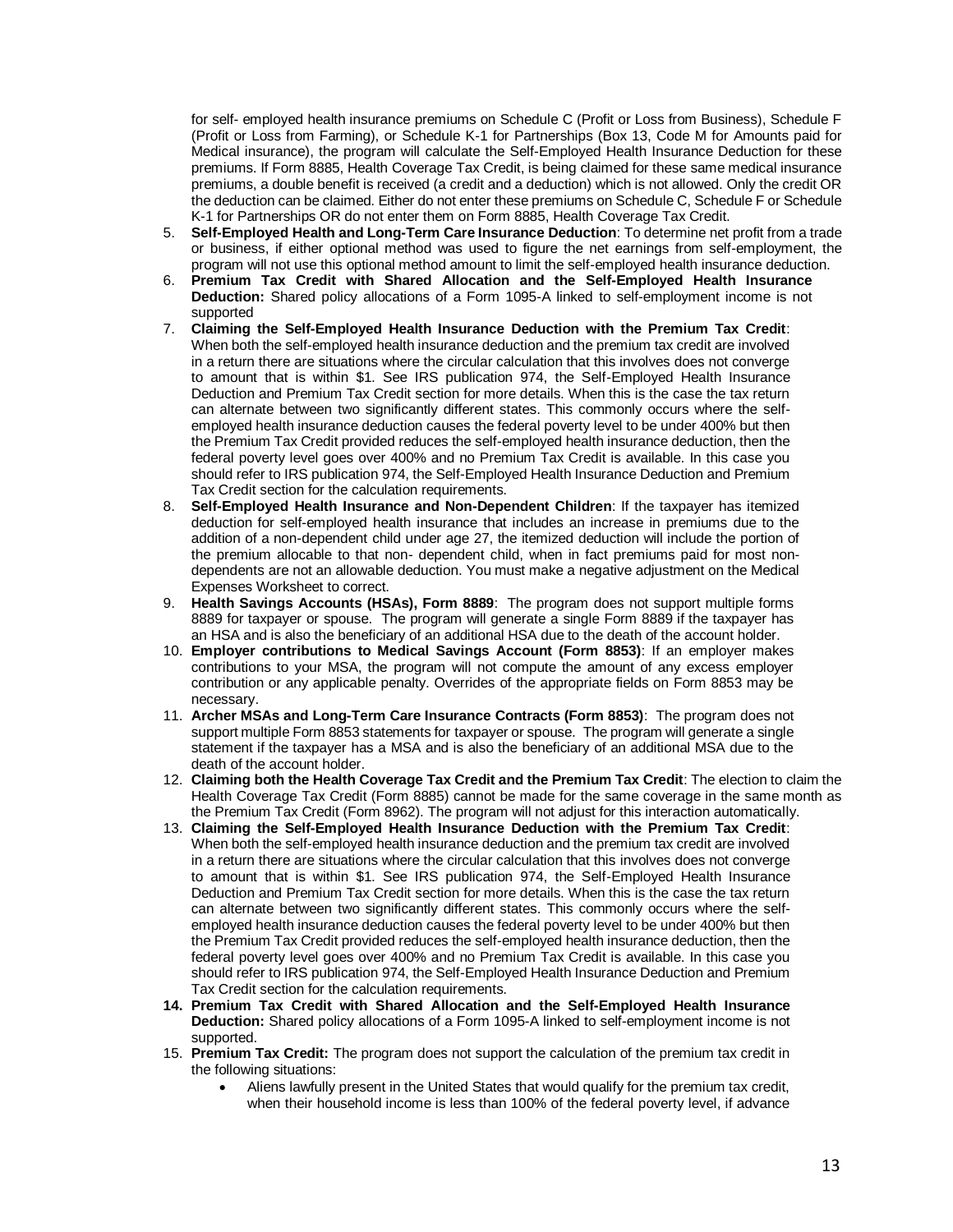for self- employed health insurance premiums on Schedule C (Profit or Loss from Business), Schedule F (Profit or Loss from Farming), or Schedule K-1 for Partnerships (Box 13, Code M for Amounts paid for Medical insurance), the program will calculate the Self-Employed Health Insurance Deduction for these premiums. If Form 8885, Health Coverage Tax Credit, is being claimed for these same medical insurance premiums, a double benefit is received (a credit and a deduction) which is not allowed. Only the credit OR the deduction can be claimed. Either do not enter these premiums on Schedule C, Schedule F or Schedule K-1 for Partnerships OR do not enter them on Form 8885, Health Coverage Tax Credit.

- 5. **Self-Employed Health and Long-Term Care Insurance Deduction**: To determine net profit from a trade or business, if either optional method was used to figure the net earnings from self-employment, the program will not use this optional method amount to limit the self-employed health insurance deduction.
- 6. **Premium Tax Credit with Shared Allocation and the Self-Employed Health Insurance Deduction:** Shared policy allocations of a Form 1095-A linked to self-employment income is not supported
- 7. **Claiming the Self-Employed Health Insurance Deduction with the Premium Tax Credit**: When both the self-employed health insurance deduction and the premium tax credit are involved in a return there are situations where the circular calculation that this involves does not converge to amount that is within \$1. See IRS publication 974, the Self-Employed Health Insurance Deduction and Premium Tax Credit section for more details. When this is the case the tax return can alternate between two significantly different states. This commonly occurs where the selfemployed health insurance deduction causes the federal poverty level to be under 400% but then the Premium Tax Credit provided reduces the self-employed health insurance deduction, then the federal poverty level goes over 400% and no Premium Tax Credit is available. In this case you should refer to IRS publication 974, the Self-Employed Health Insurance Deduction and Premium Tax Credit section for the calculation requirements.
- 8. **Self-Employed Health Insurance and Non-Dependent Children**: If the taxpayer has itemized deduction for self-employed health insurance that includes an increase in premiums due to the addition of a non-dependent child under age 27, the itemized deduction will include the portion of the premium allocable to that non- dependent child, when in fact premiums paid for most nondependents are not an allowable deduction. You must make a negative adjustment on the Medical Expenses Worksheet to correct.
- 9. **Health Savings Accounts (HSAs), Form 8889**: The program does not support multiple forms 8889 for taxpayer or spouse. The program will generate a single Form 8889 if the taxpayer has an HSA and is also the beneficiary of an additional HSA due to the death of the account holder.
- 10. **Employer contributions to Medical Savings Account (Form 8853)**: If an employer makes contributions to your MSA, the program will not compute the amount of any excess employer contribution or any applicable penalty. Overrides of the appropriate fields on Form 8853 may be necessary.
- 11. **Archer MSAs and Long-Term Care Insurance Contracts (Form 8853)**: The program does not support multiple Form 8853 statements for taxpayer or spouse. The program will generate a single statement if the taxpayer has a MSA and is also the beneficiary of an additional MSA due to the death of the account holder.
- 12. **Claiming both the Health Coverage Tax Credit and the Premium Tax Credit**: The election to claim the Health Coverage Tax Credit (Form 8885) cannot be made for the same coverage in the same month as the Premium Tax Credit (Form 8962). The program will not adjust for this interaction automatically.
- 13. **Claiming the Self-Employed Health Insurance Deduction with the Premium Tax Credit**: When both the self-employed health insurance deduction and the premium tax credit are involved in a return there are situations where the circular calculation that this involves does not converge to amount that is within \$1. See IRS publication 974, the Self-Employed Health Insurance Deduction and Premium Tax Credit section for more details. When this is the case the tax return can alternate between two significantly different states. This commonly occurs where the selfemployed health insurance deduction causes the federal poverty level to be under 400% but then the Premium Tax Credit provided reduces the self-employed health insurance deduction, then the federal poverty level goes over 400% and no Premium Tax Credit is available. In this case you should refer to IRS publication 974, the Self-Employed Health Insurance Deduction and Premium Tax Credit section for the calculation requirements.
- **14. Premium Tax Credit with Shared Allocation and the Self-Employed Health Insurance Deduction:** Shared policy allocations of a Form 1095-A linked to self-employment income is not supported.
- 15. **Premium Tax Credit:** The program does not support the calculation of the premium tax credit in the following situations:
	- Aliens lawfully present in the United States that would qualify for the premium tax credit, when their household income is less than 100% of the federal poverty level, if advance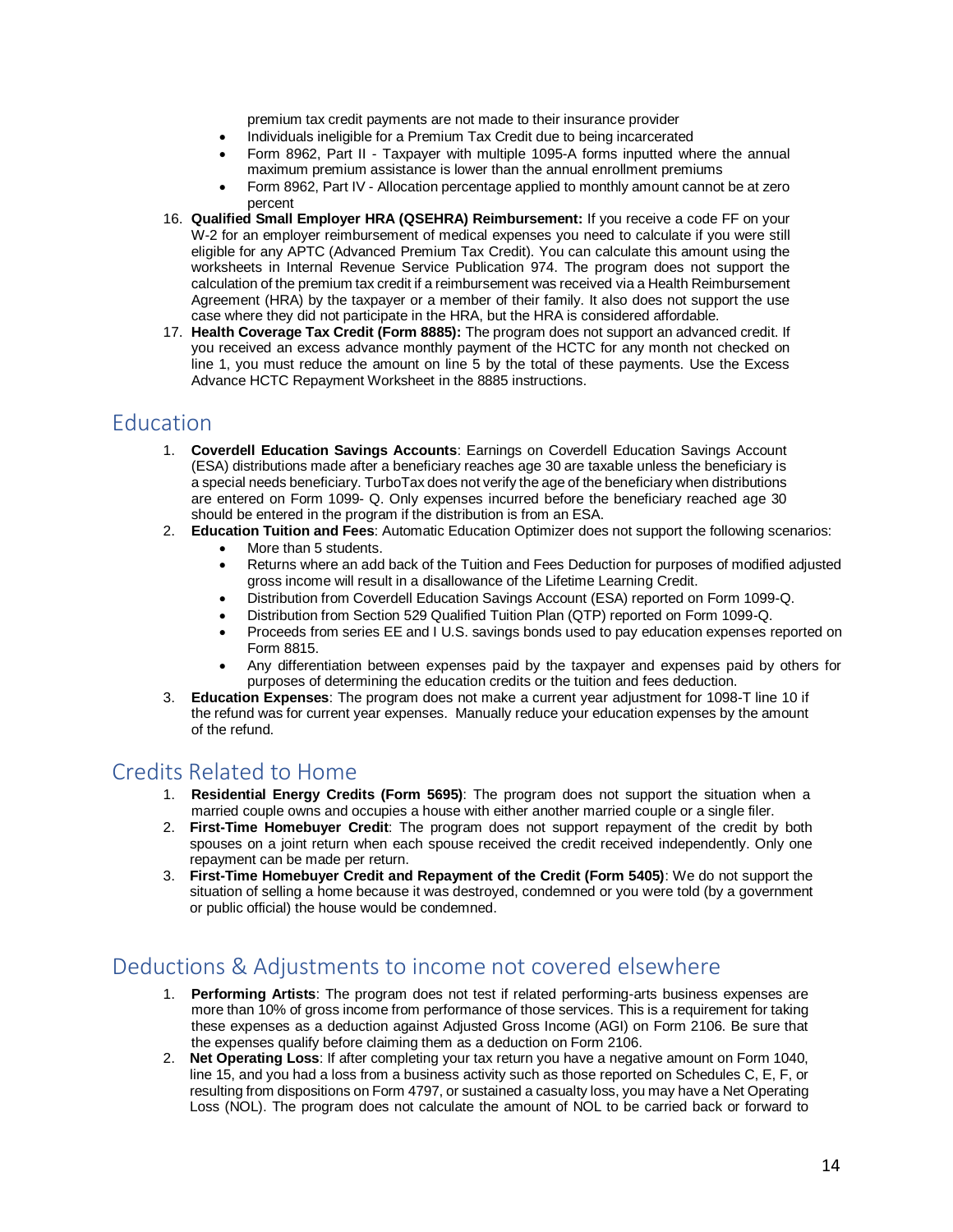premium tax credit payments are not made to their insurance provider

- Individuals ineligible for a Premium Tax Credit due to being incarcerated
- Form 8962, Part II Taxpayer with multiple 1095-A forms inputted where the annual maximum premium assistance is lower than the annual enrollment premiums
- Form 8962, Part IV Allocation percentage applied to monthly amount cannot be at zero percent
- 16. **Qualified Small Employer HRA (QSEHRA) Reimbursement:** If you receive a code FF on your W-2 for an employer reimbursement of medical expenses you need to calculate if you were still eligible for any APTC (Advanced Premium Tax Credit). You can calculate this amount using the worksheets in Internal Revenue Service Publication 974. The program does not support the calculation of the premium tax credit if a reimbursement was received via a Health Reimbursement Agreement (HRA) by the taxpayer or a member of their family. It also does not support the use case where they did not participate in the HRA, but the HRA is considered affordable.
- 17. **Health Coverage Tax Credit (Form 8885):** The program does not support an advanced credit. If you received an excess advance monthly payment of the HCTC for any month not checked on line 1, you must reduce the amount on line 5 by the total of these payments. Use the Excess Advance HCTC Repayment Worksheet in the 8885 instructions.

## Education

- 1. **Coverdell Education Savings Accounts**: Earnings on Coverdell Education Savings Account (ESA) distributions made after a beneficiary reaches age 30 are taxable unless the beneficiary is a special needs beneficiary. TurboTax does not verify the age of the beneficiary when distributions are entered on Form 1099- Q. Only expenses incurred before the beneficiary reached age 30 should be entered in the program if the distribution is from an ESA.
- 2. **Education Tuition and Fees**: Automatic Education Optimizer does not support the following scenarios:
	- More than 5 students.
	- Returns where an add back of the Tuition and Fees Deduction for purposes of modified adjusted gross income will result in a disallowance of the Lifetime Learning Credit.
	- Distribution from Coverdell Education Savings Account (ESA) reported on Form 1099-Q.
	- Distribution from Section 529 Qualified Tuition Plan (QTP) reported on Form 1099-Q.
	- Proceeds from series EE and I U.S. savings bonds used to pay education expenses reported on Form 8815.
	- Any differentiation between expenses paid by the taxpayer and expenses paid by others for purposes of determining the education credits or the tuition and fees deduction.
- 3. **Education Expenses**: The program does not make a current year adjustment for 1098-T line 10 if the refund was for current year expenses. Manually reduce your education expenses by the amount of the refund.

#### Credits Related to Home

- 1. **Residential Energy Credits (Form 5695)**: The program does not support the situation when a married couple owns and occupies a house with either another married couple or a single filer.
- 2. **First-Time Homebuyer Credit**: The program does not support repayment of the credit by both spouses on a joint return when each spouse received the credit received independently. Only one repayment can be made per return.
- 3. **First-Time Homebuyer Credit and Repayment of the Credit (Form 5405)**: We do not support the situation of selling a home because it was destroyed, condemned or you were told (by a government or public official) the house would be condemned.

# Deductions & Adjustments to income not covered elsewhere

- 1. **Performing Artists**: The program does not test if related performing-arts business expenses are more than 10% of gross income from performance of those services. This is a requirement for taking these expenses as a deduction against Adjusted Gross Income (AGI) on Form 2106. Be sure that the expenses qualify before claiming them as a deduction on Form 2106.
- 2. **Net Operating Loss**: If after completing your tax return you have a negative amount on Form 1040, line 15, and you had a loss from a business activity such as those reported on Schedules C, E, F, or resulting from dispositions on Form 4797, or sustained a casualty loss, you may have a Net Operating Loss (NOL). The program does not calculate the amount of NOL to be carried back or forward to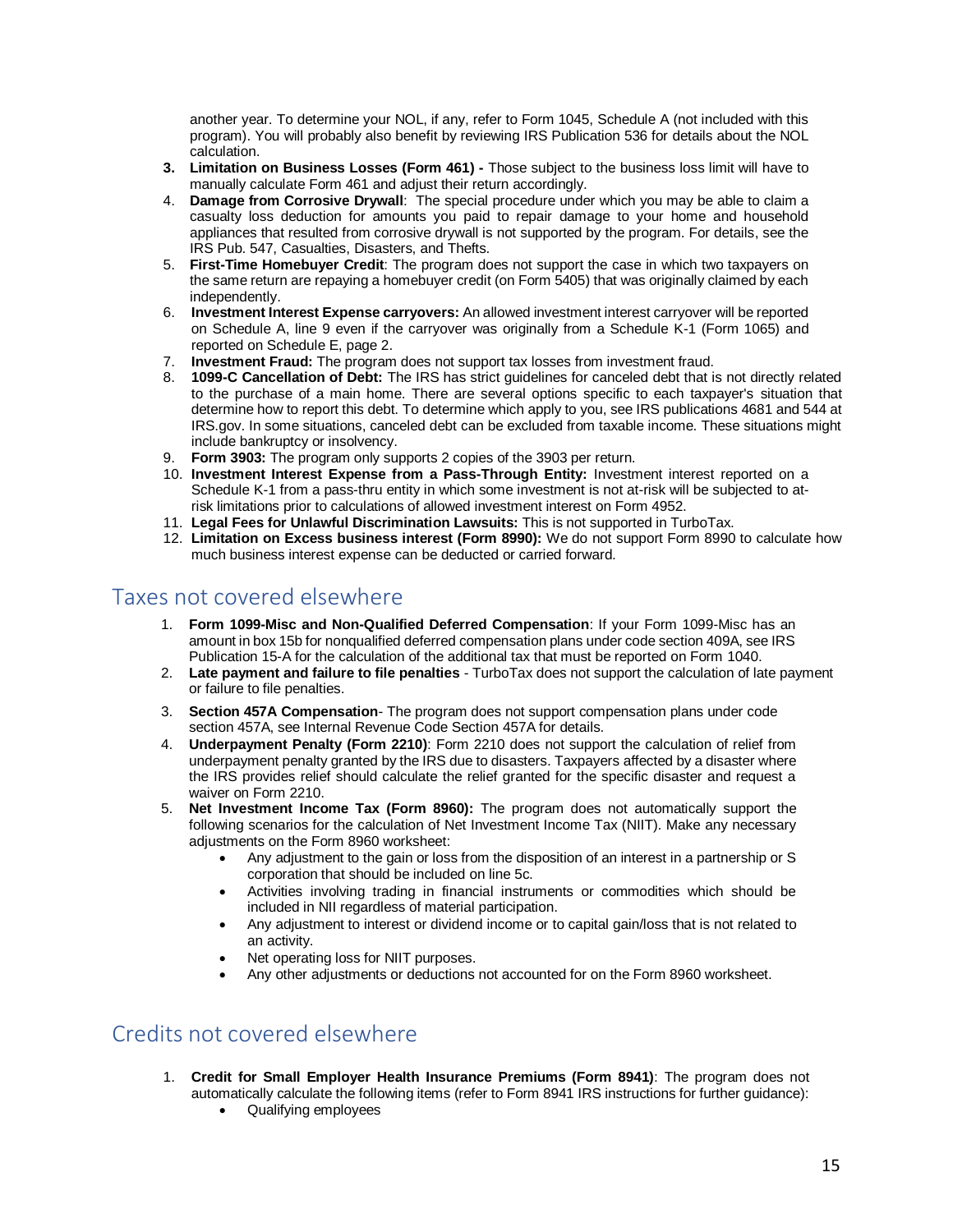another year. To determine your NOL, if any, refer to Form 1045, Schedule A (not included with this program). You will probably also benefit by reviewing IRS Publication 536 for details about the NOL calculation.

- **3. Limitation on Business Losses (Form 461) -** Those subject to the business loss limit will have to manually calculate Form 461 and adjust their return accordingly.
- 4. **Damage from Corrosive Drywall**: The special procedure under which you may be able to claim a casualty loss deduction for amounts you paid to repair damage to your home and household appliances that resulted from corrosive drywall is not supported by the program. For details, see the IRS Pub. 547, Casualties, Disasters, and Thefts.
- 5. **First-Time Homebuyer Credit**: The program does not support the case in which two taxpayers on the same return are repaying a homebuyer credit (on Form 5405) that was originally claimed by each independently.
- 6. **Investment Interest Expense carryovers:** An allowed investment interest carryover will be reported on Schedule A, line 9 even if the carryover was originally from a Schedule K-1 (Form 1065) and reported on Schedule E, page 2.
- 7. **Investment Fraud:** The program does not support tax losses from investment fraud.
- 8. **1099-C Cancellation of Debt:** The IRS has strict guidelines for canceled debt that is not directly related to the purchase of a main home. There are several options specific to each taxpayer's situation that determine how to report this debt. To determine which apply to you, see IRS publications 4681 and 544 at IRS.gov. In some situations, canceled debt can be excluded from taxable income. These situations might include bankruptcy or insolvency.
- 9. **Form 3903:** The program only supports 2 copies of the 3903 per return.
- 10. **Investment Interest Expense from a Pass-Through Entity:** Investment interest reported on a Schedule K-1 from a pass-thru entity in which some investment is not at-risk will be subjected to atrisk limitations prior to calculations of allowed investment interest on Form 4952.
- 11. **Legal Fees for Unlawful Discrimination Lawsuits:** This is not supported in TurboTax.
- 12. **Limitation on Excess business interest (Form 8990):** We do not support Form 8990 to calculate how much business interest expense can be deducted or carried forward.

#### Taxes not covered elsewhere

- 1. **Form 1099-Misc and Non-Qualified Deferred Compensation**: If your Form 1099-Misc has an amount in box 15b for nonqualified deferred compensation plans under code section 409A, see IRS Publication 15-A for the calculation of the additional tax that must be reported on Form 1040.
- 2. **Late payment and failure to file penalties** TurboTax does not support the calculation of late payment or failure to file penalties.
- 3. **Section 457A Compensation** The program does not support compensation plans under code section 457A, see Internal Revenue Code Section 457A for details.
- 4. **Underpayment Penalty (Form 2210)**: Form 2210 does not support the calculation of relief from underpayment penalty granted by the IRS due to disasters. Taxpayers affected by a disaster where the IRS provides relief should calculate the relief granted for the specific disaster and request a waiver on Form 2210.
- 5. **Net Investment Income Tax (Form 8960):** The program does not automatically support the following scenarios for the calculation of Net Investment Income Tax (NIIT). Make any necessary adjustments on the Form 8960 worksheet:
	- Any adjustment to the gain or loss from the disposition of an interest in a partnership or S corporation that should be included on line 5c.
	- Activities involving trading in financial instruments or commodities which should be included in NII regardless of material participation.
	- Any adjustment to interest or dividend income or to capital gain/loss that is not related to an activity.
	- Net operating loss for NIIT purposes.
	- Any other adjustments or deductions not accounted for on the Form 8960 worksheet.

## Credits not covered elsewhere

- 1. **Credit for Small Employer Health Insurance Premiums (Form 8941)**: The program does not automatically calculate the following items (refer to Form 8941 IRS instructions for further guidance):
	- Qualifying employees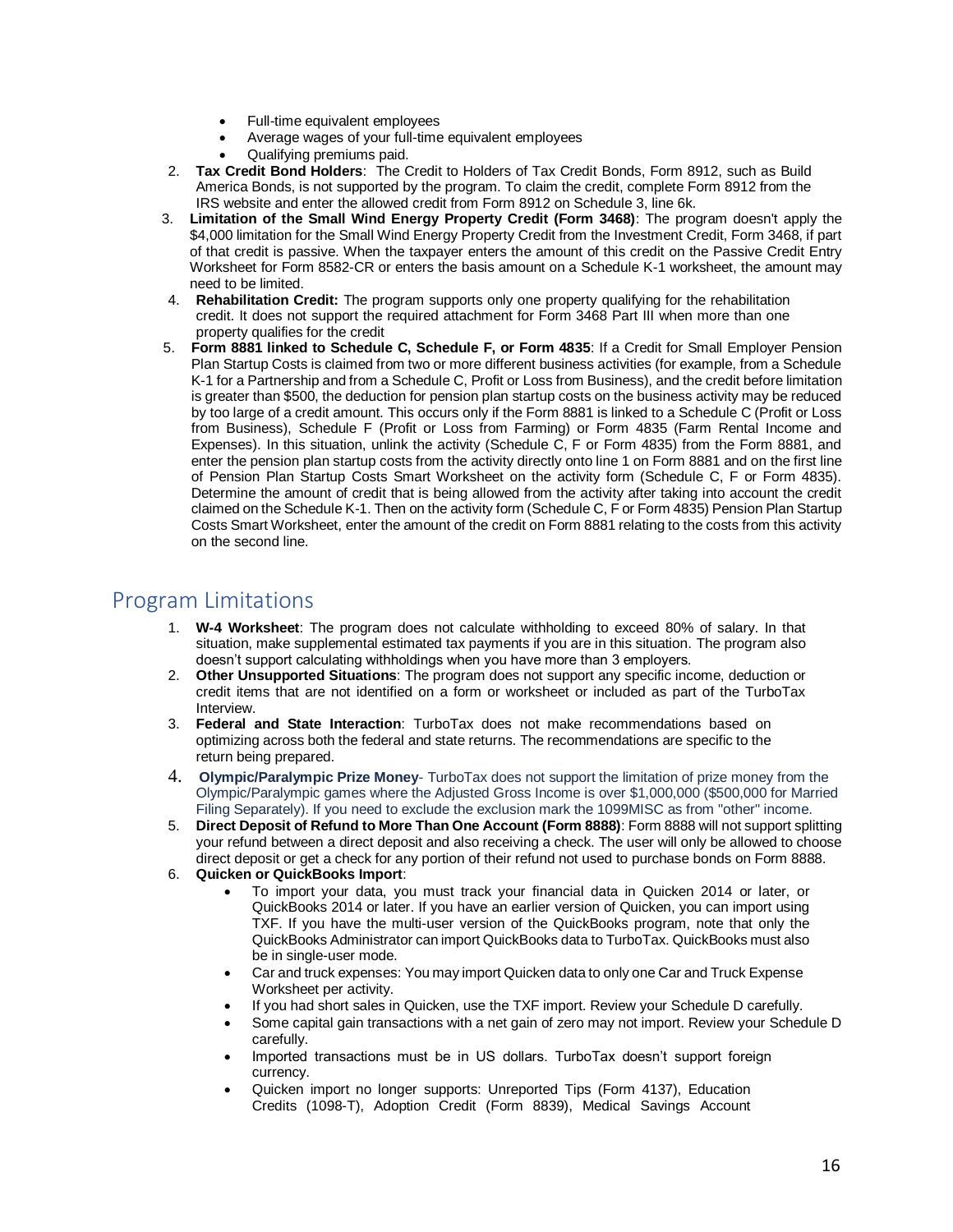- Full-time equivalent employees
- Average wages of your full-time equivalent employees
- Qualifying premiums paid.
- 2. **Tax Credit Bond Holders**: The Credit to Holders of Tax Credit Bonds, Form 8912, such as Build America Bonds, is not supported by the program. To claim the credit, complete Form 8912 from the IRS website and enter the allowed credit from Form 8912 on Schedule 3, line 6k.
- 3. **Limitation of the Small Wind Energy Property Credit (Form 3468)**: The program doesn't apply the \$4,000 limitation for the Small Wind Energy Property Credit from the Investment Credit, Form 3468, if part of that credit is passive. When the taxpayer enters the amount of this credit on the Passive Credit Entry Worksheet for Form 8582-CR or enters the basis amount on a Schedule K-1 worksheet, the amount may need to be limited.
- 4. **Rehabilitation Credit:** The program supports only one property qualifying for the rehabilitation credit. It does not support the required attachment for Form 3468 Part III when more than one property qualifies for the credit
- 5. **Form 8881 linked to Schedule C, Schedule F, or Form 4835**: If a Credit for Small Employer Pension Plan Startup Costs is claimed from two or more different business activities (for example, from a Schedule K-1 for a Partnership and from a Schedule C, Profit or Loss from Business), and the credit before limitation is greater than \$500, the deduction for pension plan startup costs on the business activity may be reduced by too large of a credit amount. This occurs only if the Form 8881 is linked to a Schedule C (Profit or Loss from Business), Schedule F (Profit or Loss from Farming) or Form 4835 (Farm Rental Income and Expenses). In this situation, unlink the activity (Schedule C, F or Form 4835) from the Form 8881, and enter the pension plan startup costs from the activity directly onto line 1 on Form 8881 and on the first line of Pension Plan Startup Costs Smart Worksheet on the activity form (Schedule C, F or Form 4835). Determine the amount of credit that is being allowed from the activity after taking into account the credit claimed on the Schedule K-1. Then on the activity form (Schedule C, F or Form 4835) Pension Plan Startup Costs Smart Worksheet, enter the amount of the credit on Form 8881 relating to the costs from this activity on the second line.

#### Program Limitations

- 1. **W-4 Worksheet**: The program does not calculate withholding to exceed 80% of salary. In that situation, make supplemental estimated tax payments if you are in this situation. The program also doesn't support calculating withholdings when you have more than 3 employers.
- 2. **Other Unsupported Situations**: The program does not support any specific income, deduction or credit items that are not identified on a form or worksheet or included as part of the TurboTax Interview.
- 3. **Federal and State Interaction**: TurboTax does not make recommendations based on optimizing across both the federal and state returns. The recommendations are specific to the return being prepared.
- 4. **Olympic/Paralympic Prize Money** TurboTax does not support the limitation of prize money from the Olympic/Paralympic games where the Adjusted Gross Income is over \$1,000,000 (\$500,000 for Married Filing Separately). If you need to exclude the exclusion mark the 1099MISC as from "other" income.
- 5. **Direct Deposit of Refund to More Than One Account (Form 8888)**: Form 8888 will not support splitting your refund between a direct deposit and also receiving a check. The user will only be allowed to choose direct deposit or get a check for any portion of their refund not used to purchase bonds on Form 8888.
- 6. **Quicken or QuickBooks Import**:
	- To import your data, you must track your financial data in Quicken 2014 or later, or QuickBooks 2014 or later. If you have an earlier version of Quicken, you can import using TXF. If you have the multi-user version of the QuickBooks program, note that only the QuickBooks Administrator can import QuickBooks data to TurboTax. QuickBooks must also be in single-user mode.
	- Car and truck expenses: You may import Quicken data to only one Car and Truck Expense Worksheet per activity.
	- If you had short sales in Quicken, use the TXF import. Review your Schedule D carefully.
	- Some capital gain transactions with a net gain of zero may not import. Review your Schedule D carefully.
	- Imported transactions must be in US dollars. TurboTax doesn't support foreign currency.
	- Quicken import no longer supports: Unreported Tips (Form 4137), Education Credits (1098-T), Adoption Credit (Form 8839), Medical Savings Account